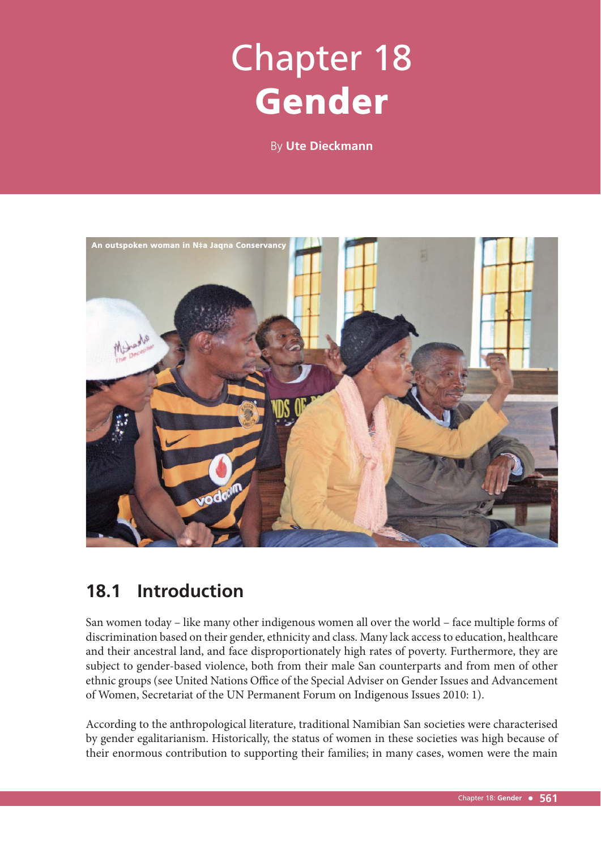# Chapter 18 Gender

By **Ute Dieckmann**



# **18.1 Introduction**

San women today – like many other indigenous women all over the world – face multiple forms of discrimination based on their gender, ethnicity and class. Many lack access to education, healthcare and their ancestral land, and face disproportionately high rates of poverty. Furthermore, they are subject to gender-based violence, both from their male San counterparts and from men of other ethnic groups (see United Nations Office of the Special Adviser on Gender Issues and Advancement of Women, Secretariat of the UN Permanent Forum on Indigenous Issues 2010: 1).

According to the anthropological literature, traditional Namibian San societies were characterised by gender egalitarianism. Historically, the status of women in these societies was high because of their enormous contribution to supporting their families; in many cases, women were the main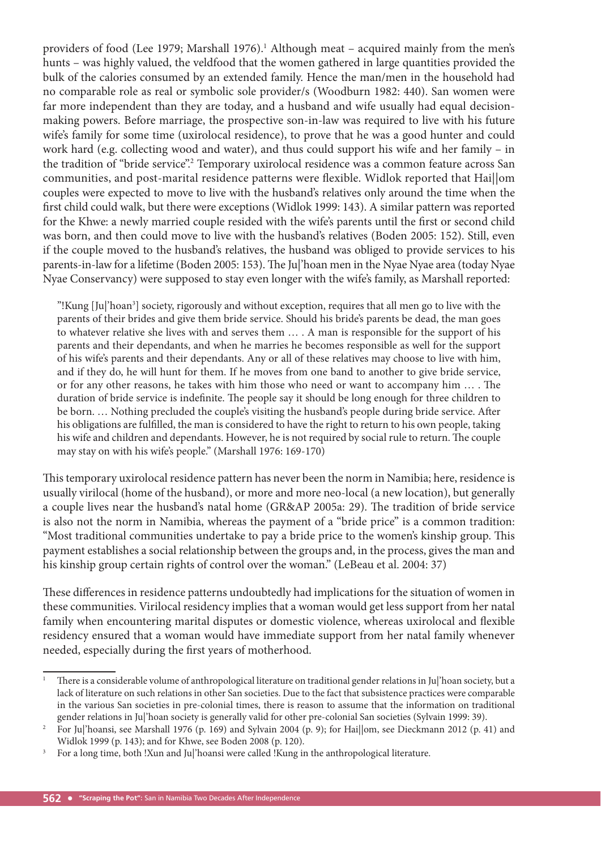providers of food (Lee 1979; Marshall 1976).<sup>1</sup> Although meat – acquired mainly from the men's hunts – was highly valued, the veldfood that the women gathered in large quantities provided the bulk of the calories consumed by an extended family. Hence the man/men in the household had no comparable role as real or symbolic sole provider/s (Woodburn 1982: 440). San women were far more independent than they are today, and a husband and wife usually had equal decisionmaking powers. Before marriage, the prospective son-in-law was required to live with his future wife's family for some time (uxirolocal residence), to prove that he was a good hunter and could work hard (e.g. collecting wood and water), and thus could support his wife and her family – in the tradition of "bride service".<sup>2</sup> Temporary uxirolocal residence was a common feature across San communities, and post-marital residence patterns were flexible. Widlok reported that Hai||om couples were expected to move to live with the husband's relatives only around the time when the first child could walk, but there were exceptions (Widlok 1999: 143). A similar pattern was reported for the Khwe: a newly married couple resided with the wife's parents until the first or second child was born, and then could move to live with the husband's relatives (Boden 2005: 152). Still, even if the couple moved to the husband's relatives, the husband was obliged to provide services to his parents-in-law for a lifetime (Boden 2005: 153). The Jul'hoan men in the Nyae Nyae area (today Nyae Nyae Conservancy) were supposed to stay even longer with the wife's family, as Marshall reported:

"!Kung [Ju|'hoan<sup>3</sup>] society, rigorously and without exception, requires that all men go to live with the parents of their brides and give them bride service. Should his bride's parents be dead, the man goes to whatever relative she lives with and serves them … . A man is responsible for the support of his parents and their dependants, and when he marries he becomes responsible as well for the support of his wife's parents and their dependants. Any or all of these relatives may choose to live with him, and if they do, he will hunt for them. If he moves from one band to another to give bride service, or for any other reasons, he takes with him those who need or want to accompany him ... . The duration of bride service is indefinite. The people say it should be long enough for three children to be born. ... Nothing precluded the couple's visiting the husband's people during bride service. After his obligations are fulfilled, the man is considered to have the right to return to his own people, taking his wife and children and dependants. However, he is not required by social rule to return. The couple may stay on with his wife's people." (Marshall 1976: 169-170)

This temporary uxirolocal residence pattern has never been the norm in Namibia; here, residence is usually virilocal (home of the husband), or more and more neo-local (a new location), but generally a couple lives near the husband's natal home (GR&AP 2005a: 29). The tradition of bride service is also not the norm in Namibia, whereas the payment of a "bride price" is a common tradition: "Most traditional communities undertake to pay a bride price to the women's kinship group. This payment establishes a social relationship between the groups and, in the process, gives the man and his kinship group certain rights of control over the woman." (LeBeau et al. 2004: 37)

These differences in residence patterns undoubtedly had implications for the situation of women in these communities. Virilocal residency implies that a woman would get less support from her natal family when encountering marital disputes or domestic violence, whereas uxirolocal and flexible residency ensured that a woman would have immediate support from her natal family whenever needed, especially during the first years of motherhood.

<sup>1</sup> There is a considerable volume of anthropological literature on traditional gender relations in Ju|'hoan society, but a lack of literature on such relations in other San societies. Due to the fact that subsistence practices were comparable in the various San societies in pre-colonial times, there is reason to assume that the information on traditional gender relations in Ju|'hoan society is generally valid for other pre-colonial San societies (Sylvain 1999: 39).

<sup>2</sup> For Ju|'hoansi, see Marshall 1976 (p. 169) and Sylvain 2004 (p. 9); for Hai||om, see Dieckmann 2012 (p. 41) and Widlok 1999 (p. 143); and for Khwe, see Boden 2008 (p. 120).

<sup>3</sup> For a long time, both !Xun and Ju|'hoansi were called !Kung in the anthropological literature.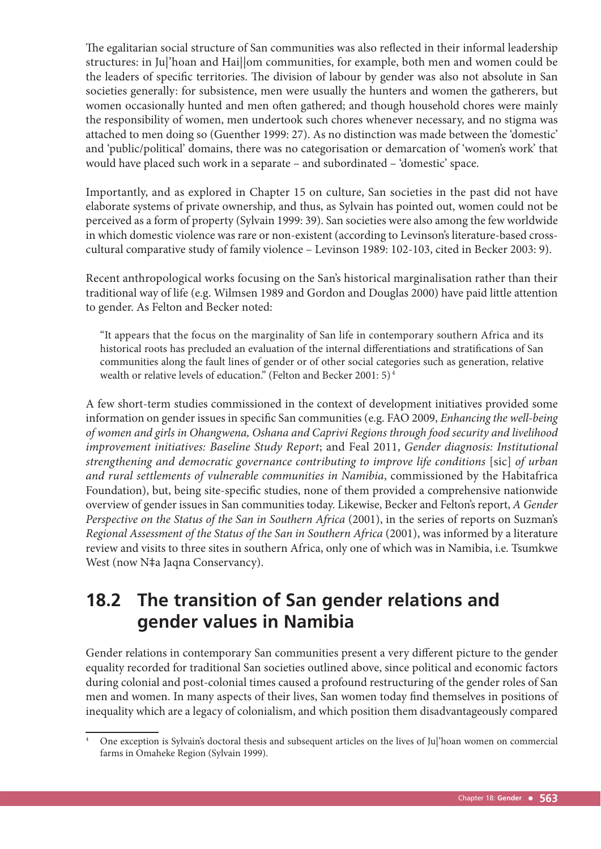The egalitarian social structure of San communities was also reflected in their informal leadership structures: in Ju|'hoan and Hai||om communities, for example, both men and women could be the leaders of specific territories. The division of labour by gender was also not absolute in San societies generally: for subsistence, men were usually the hunters and women the gatherers, but women occasionally hunted and men often gathered; and though household chores were mainly the responsibility of women, men undertook such chores whenever necessary, and no stigma was attached to men doing so (Guenther 1999: 27). As no distinction was made between the 'domestic' and 'public/political' domains, there was no categorisation or demarcation of 'women's work' that would have placed such work in a separate – and subordinated – 'domestic' space.

Importantly, and as explored in Chapter 15 on culture, San societies in the past did not have elaborate systems of private ownership, and thus, as Sylvain has pointed out, women could not be perceived as a form of property (Sylvain 1999: 39). San societies were also among the few worldwide in which domestic violence was rare or non-existent (according to Levinson's literature-based crosscultural comparative study of family violence – Levinson 1989: 102-103, cited in Becker 2003: 9).

Recent anthropological works focusing on the San's historical marginalisation rather than their traditional way of life (e.g. Wilmsen 1989 and Gordon and Douglas 2000) have paid little attention to gender. As Felton and Becker noted:

"It appears that the focus on the marginality of San life in contemporary southern Africa and its historical roots has precluded an evaluation of the internal differentiations and stratifications of San communities along the fault lines of gender or of other social categories such as generation, relative wealth or relative levels of education." (Felton and Becker 2001: 5) 4

A few short-term studies commissioned in the context of development initiatives provided some information on gender issues in specific San communities (e.g. FAO 2009, *Enhancing the well-being of women and girls in Ohangwena, Oshana and Caprivi Regions through food security and livelihood improvement initiatives: Baseline Study Report*; and Feal 2011, *Gender diagnosis: Institutional strengthening and democratic governance contributing to improve life conditions* [sic] *of urban and rural settlements of vulnerable communities in Namibia*, commissioned by the Habitafrica Foundation), but, being site-specific studies, none of them provided a comprehensive nationwide overview of gender issues in San communities today. Likewise, Becker and Felton's report, *A Gender Perspective on the Status of the San in Southern Africa* (2001), in the series of reports on Suzman's *Regional Assessment of the Status of the San in Southern Africa* (2001), was informed by a literature review and visits to three sites in southern Africa, only one of which was in Namibia, i.e. Tsumkwe West (now N‡a Jaqna Conservancy).

# **18.2 The transition of San gender relations and gender values in Namibia**

Gender relations in contemporary San communities present a very different picture to the gender equality recorded for traditional San societies outlined above, since political and economic factors during colonial and post-colonial times caused a profound restructuring of the gender roles of San men and women. In many aspects of their lives, San women today find themselves in positions of inequality which are a legacy of colonialism, and which position them disadvantageously compared

<sup>4</sup> One exception is Sylvain's doctoral thesis and subsequent articles on the lives of Ju|'hoan women on commercial farms in Omaheke Region (Sylvain 1999).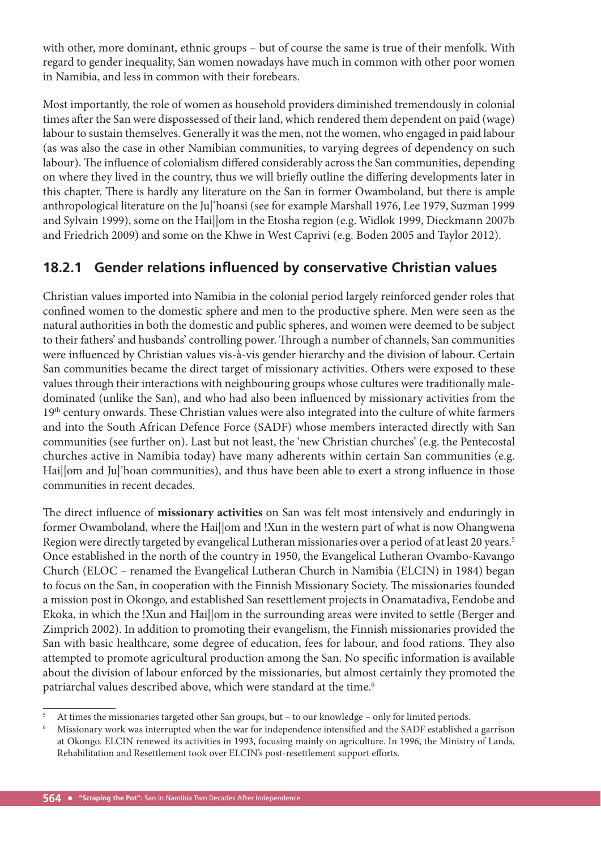with other, more dominant, ethnic groups – but of course the same is true of their menfolk. With regard to gender inequality, San women nowadays have much in common with other poor women in Namibia, and less in common with their forebears.

Most importantly, the role of women as household providers diminished tremendously in colonial times after the San were dispossessed of their land, which rendered them dependent on paid (wage) labour to sustain themselves. Generally it was the men, not the women, who engaged in paid labour (as was also the case in other Namibian communities, to varying degrees of dependency on such labour). The influence of colonialism differed considerably across the San communities, depending on where they lived in the country, thus we will briefly outline the differing developments later in this chapter. There is hardly any literature on the San in former Owamboland, but there is ample anthropological literature on the Ju|'hoansi (see for example Marshall 1976, Lee 1979, Suzman 1999 and Sylvain 1999), some on the Hai||om in the Etosha region (e.g. Widlok 1999, Dieckmann 2007b and Friedrich 2009) and some on the Khwe in West Caprivi (e.g. Boden 2005 and Taylor 2012).

# **18.2.1 Gender relations influenced by conservative Christian values**

Christian values imported into Namibia in the colonial period largely reinforced gender roles that confined women to the domestic sphere and men to the productive sphere. Men were seen as the natural authorities in both the domestic and public spheres, and women were deemed to be subject to their fathers' and husbands' controlling power. Through a number of channels, San communities were influenced by Christian values vis-à-vis gender hierarchy and the division of labour. Certain San communities became the direct target of missionary activities. Others were exposed to these values through their interactions with neighbouring groups whose cultures were traditionally maledominated (unlike the San), and who had also been influenced by missionary activities from the 19th century onwards. These Christian values were also integrated into the culture of white farmers and into the South African Defence Force (SADF) whose members interacted directly with San communities (see further on). Last but not least, the 'new Christian churches' (e.g. the Pentecostal churches active in Namibia today) have many adherents within certain San communities (e.g. Hai||om and Ju|'hoan communities), and thus have been able to exert a strong influence in those communities in recent decades.

The direct influence of missionary activities on San was felt most intensively and enduringly in former Owamboland, where the Hai||om and !Xun in the western part of what is now Ohangwena Region were directly targeted by evangelical Lutheran missionaries over a period of at least 20 years.<sup>5</sup> Once established in the north of the country in 1950, the Evangelical Lutheran Ovambo-Kavango Church (ELOC – renamed the Evangelical Lutheran Church in Namibia (ELCIN) in 1984) began to focus on the San, in cooperation with the Finnish Missionary Society. The missionaries founded a mission post in Okongo, and established San resettlement projects in Onamatadiva, Eendobe and Ekoka, in which the !Xun and Hai||om in the surrounding areas were invited to settle (Berger and Zimprich 2002). In addition to promoting their evangelism, the Finnish missionaries provided the San with basic healthcare, some degree of education, fees for labour, and food rations. They also attempted to promote agricultural production among the San. No specific information is available about the division of labour enforced by the missionaries, but almost certainly they promoted the patriarchal values described above, which were standard at the time.<sup>6</sup>

<sup>5</sup> At times the missionaries targeted other San groups, but – to our knowledge – only for limited periods.

<sup>6</sup> Missionary work was interrupted when the war for independence intensified and the SADF established a garrison at Okongo. ELCIN renewed its activities in 1993, focusing mainly on agriculture. In 1996, the Ministry of Lands, Rehabilitation and Resettlement took over ELCIN's post-resettlement support efforts.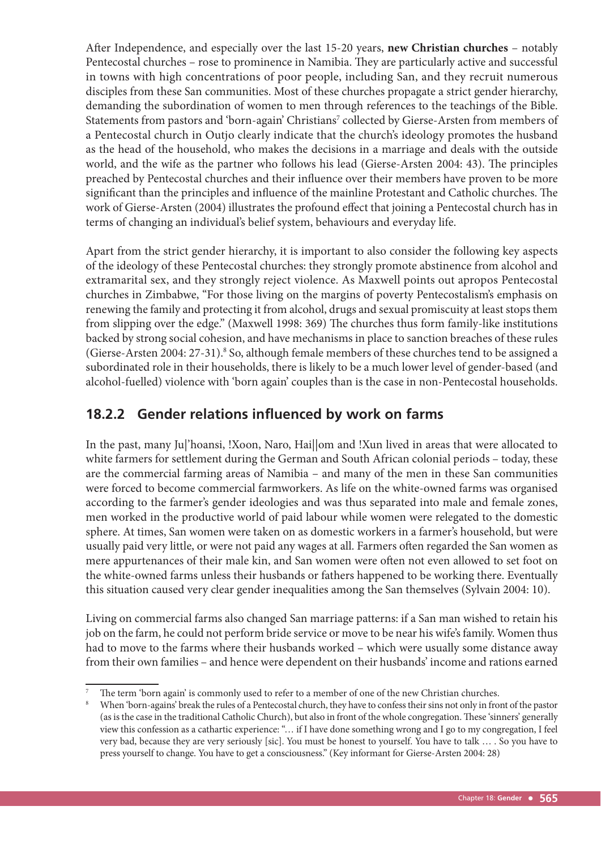After Independence, and especially over the last 15-20 years, new Christian churches - notably Pentecostal churches – rose to prominence in Namibia. They are particularly active and successful in towns with high concentrations of poor people, including San, and they recruit numerous disciples from these San communities. Most of these churches propagate a strict gender hierarchy, demanding the subordination of women to men through references to the teachings of the Bible. Statements from pastors and 'born-again' Christians<sup>7</sup> collected by Gierse-Arsten from members of a Pentecostal church in Outjo clearly indicate that the church's ideology promotes the husband as the head of the household, who makes the decisions in a marriage and deals with the outside world, and the wife as the partner who follows his lead (Gierse-Arsten 2004: 43). The principles preached by Pentecostal churches and their influence over their members have proven to be more significant than the principles and influence of the mainline Protestant and Catholic churches. The work of Gierse-Arsten (2004) illustrates the profound effect that joining a Pentecostal church has in terms of changing an individual's belief system, behaviours and everyday life.

Apart from the strict gender hierarchy, it is important to also consider the following key aspects of the ideology of these Pentecostal churches: they strongly promote abstinence from alcohol and extramarital sex, and they strongly reject violence. As Maxwell points out apropos Pentecostal churches in Zimbabwe, "For those living on the margins of poverty Pentecostalism's emphasis on renewing the family and protecting it from alcohol, drugs and sexual promiscuity at least stops them from slipping over the edge." (Maxwell 1998: 369) The churches thus form family-like institutions backed by strong social cohesion, and have mechanisms in place to sanction breaches of these rules (Gierse-Arsten 2004: 27-31).<sup>8</sup> So, although female members of these churches tend to be assigned a subordinated role in their households, there is likely to be a much lower level of gender-based (and alcohol-fuelled) violence with 'born again' couples than is the case in non-Pentecostal households.

# **18.2.2 Gender relations influenced by work on farms**

In the past, many Ju|'hoansi, !Xoon, Naro, Hai||om and !Xun lived in areas that were allocated to white farmers for settlement during the German and South African colonial periods – today, these are the commercial farming areas of Namibia – and many of the men in these San communities were forced to become commercial farmworkers. As life on the white-owned farms was organised according to the farmer's gender ideologies and was thus separated into male and female zones, men worked in the productive world of paid labour while women were relegated to the domestic sphere. At times, San women were taken on as domestic workers in a farmer's household, but were usually paid very little, or were not paid any wages at all. Farmers often regarded the San women as mere appurtenances of their male kin, and San women were often not even allowed to set foot on the white-owned farms unless their husbands or fathers happened to be working there. Eventually this situation caused very clear gender inequalities among the San themselves (Sylvain 2004: 10).

Living on commercial farms also changed San marriage patterns: if a San man wished to retain his job on the farm, he could not perform bride service or move to be near his wife's family. Women thus had to move to the farms where their husbands worked – which were usually some distance away from their own families – and hence were dependent on their husbands' income and rations earned

<sup>7</sup> The term 'born again' is commonly used to refer to a member of one of the new Christian churches.

<sup>8</sup> When 'born-agains' break the rules of a Pentecostal church, they have to confess their sins not only in front of the pastor (as is the case in the traditional Catholic Church), but also in front of the whole congregation. These 'sinners' generally view this confession as a cathartic experience: "… if I have done something wrong and I go to my congregation, I feel very bad, because they are very seriously [sic]. You must be honest to yourself. You have to talk … . So you have to press yourself to change. You have to get a consciousness." (Key informant for Gierse-Arsten 2004: 28)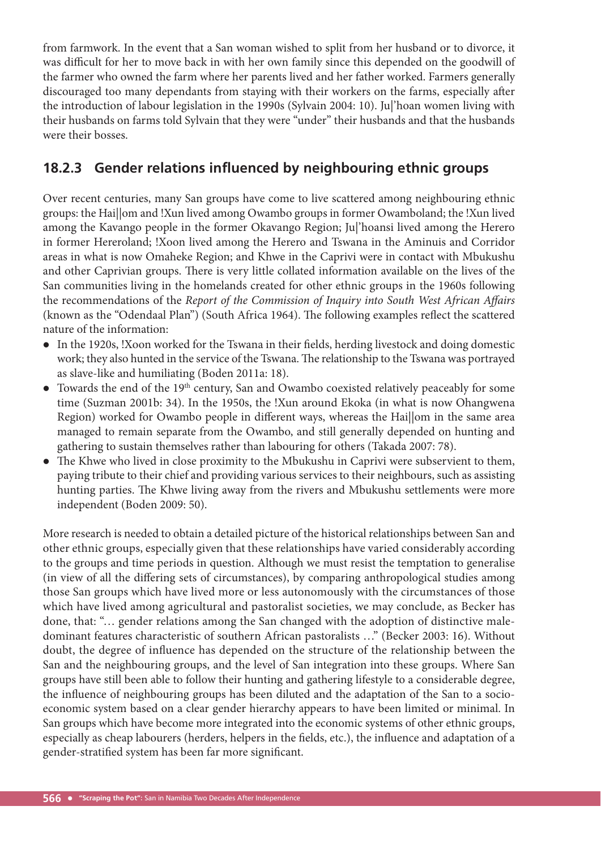from farmwork. In the event that a San woman wished to split from her husband or to divorce, it was difficult for her to move back in with her own family since this depended on the goodwill of the farmer who owned the farm where her parents lived and her father worked. Farmers generally discouraged too many dependants from staying with their workers on the farms, especially after the introduction of labour legislation in the 1990s (Sylvain 2004: 10). Ju|'hoan women living with their husbands on farms told Sylvain that they were "under" their husbands and that the husbands were their bosses.

# **18.2.3 Gender relations influenced by neighbouring ethnic groups**

Over recent centuries, many San groups have come to live scattered among neighbouring ethnic groups: the Hai||om and !Xun lived among Owambo groups in former Owamboland; the !Xun lived among the Kavango people in the former Okavango Region; Ju|'hoansi lived among the Herero in former Hereroland; !Xoon lived among the Herero and Tswana in the Aminuis and Corridor areas in what is now Omaheke Region; and Khwe in the Caprivi were in contact with Mbukushu and other Caprivian groups. There is very little collated information available on the lives of the San communities living in the homelands created for other ethnic groups in the 1960s following the recommendations of the *Report of the Commission of Inquiry into South West African Affairs* (known as the "Odendaal Plan") (South Africa 1964). The following examples reflect the scattered nature of the information:

- In the 1920s, !Xoon worked for the Tswana in their fields, herding livestock and doing domestic work; they also hunted in the service of the Tswana. The relationship to the Tswana was portrayed as slave-like and humiliating (Boden 2011a: 18).
- Towards the end of the 19th century, San and Owambo coexisted relatively peaceably for some time (Suzman 2001b: 34). In the 1950s, the !Xun around Ekoka (in what is now Ohangwena Region) worked for Owambo people in different ways, whereas the Hai||om in the same area managed to remain separate from the Owambo, and still generally depended on hunting and gathering to sustain themselves rather than labouring for others (Takada 2007: 78).
- The Khwe who lived in close proximity to the Mbukushu in Caprivi were subservient to them, paying tribute to their chief and providing various services to their neighbours, such as assisting hunting parties. The Khwe living away from the rivers and Mbukushu settlements were more independent (Boden 2009: 50).

More research is needed to obtain a detailed picture of the historical relationships between San and other ethnic groups, especially given that these relationships have varied considerably according to the groups and time periods in question. Although we must resist the temptation to generalise (in view of all the differing sets of circumstances), by comparing anthropological studies among those San groups which have lived more or less autonomously with the circumstances of those which have lived among agricultural and pastoralist societies, we may conclude, as Becker has done, that: "… gender relations among the San changed with the adoption of distinctive maledominant features characteristic of southern African pastoralists …" (Becker 2003: 16). Without doubt, the degree of influence has depended on the structure of the relationship between the San and the neighbouring groups, and the level of San integration into these groups. Where San groups have still been able to follow their hunting and gathering lifestyle to a considerable degree, the influence of neighbouring groups has been diluted and the adaptation of the San to a socioeconomic system based on a clear gender hierarchy appears to have been limited or minimal. In San groups which have become more integrated into the economic systems of other ethnic groups, especially as cheap labourers (herders, helpers in the fields, etc.), the influence and adaptation of a gender-stratified system has been far more significant.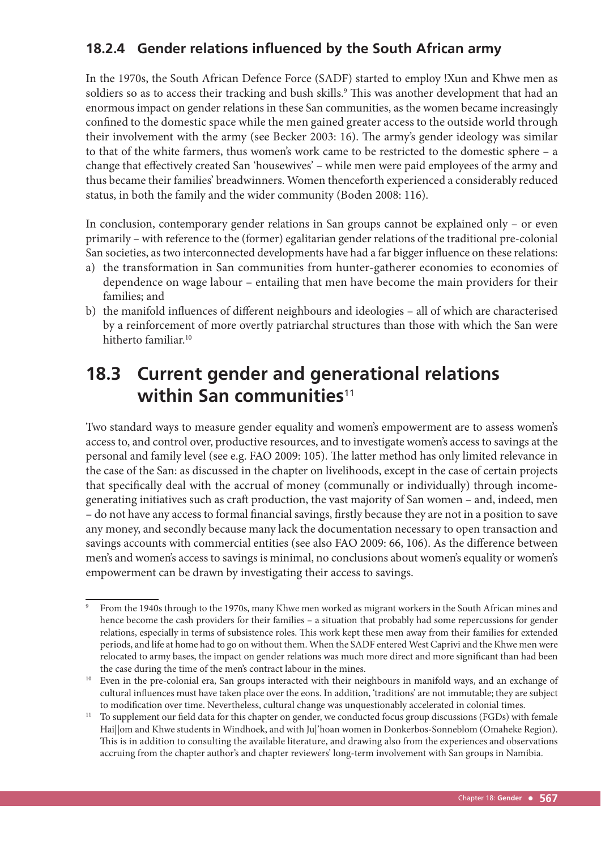# **18.2.4 Gender relations influenced by the South African army**

In the 1970s, the South African Defence Force (SADF) started to employ !Xun and Khwe men as soldiers so as to access their tracking and bush skills.<sup>9</sup> This was another development that had an enormous impact on gender relations in these San communities, as the women became increasingly confined to the domestic space while the men gained greater access to the outside world through their involvement with the army (see Becker 2003: 16). The army's gender ideology was similar to that of the white farmers, thus women's work came to be restricted to the domestic sphere – a change that effectively created San 'housewives' – while men were paid employees of the army and thus became their families' breadwinners. Women thenceforth experienced a considerably reduced status, in both the family and the wider community (Boden 2008: 116).

In conclusion, contemporary gender relations in San groups cannot be explained only – or even primarily – with reference to the (former) egalitarian gender relations of the traditional pre-colonial San societies, as two interconnected developments have had a far bigger influence on these relations:

- a) the transformation in San communities from hunter-gatherer economies to economies of dependence on wage labour – entailing that men have become the main providers for their families; and
- b) the manifold influences of different neighbours and ideologies all of which are characterised by a reinforcement of more overtly patriarchal structures than those with which the San were hitherto familiar.10

# **18.3 Current gender and generational relations within San communities**<sup>11</sup>

Two standard ways to measure gender equality and women's empowerment are to assess women's access to, and control over, productive resources, and to investigate women's access to savings at the personal and family level (see e.g. FAO 2009: 105). The latter method has only limited relevance in the case of the San: as discussed in the chapter on livelihoods, except in the case of certain projects that specifically deal with the accrual of money (communally or individually) through incomegenerating initiatives such as craft production, the vast majority of San women – and, indeed, men – do not have any access to formal financial savings, firstly because they are not in a position to save any money, and secondly because many lack the documentation necessary to open transaction and savings accounts with commercial entities (see also FAO 2009: 66, 106). As the difference between men's and women's access to savings is minimal, no conclusions about women's equality or women's empowerment can be drawn by investigating their access to savings.

<sup>9</sup> From the 1940s through to the 1970s, many Khwe men worked as migrant workers in the South African mines and hence become the cash providers for their families – a situation that probably had some repercussions for gender relations, especially in terms of subsistence roles. This work kept these men away from their families for extended periods, and life at home had to go on without them. When the SADF entered West Caprivi and the Khwe men were relocated to army bases, the impact on gender relations was much more direct and more significant than had been the case during the time of the men's contract labour in the mines.

<sup>&</sup>lt;sup>10</sup> Even in the pre-colonial era, San groups interacted with their neighbours in manifold ways, and an exchange of cultural influences must have taken place over the eons. In addition, 'traditions' are not immutable; they are subject

to modification over time. Nevertheless, cultural change was unquestionably accelerated in colonial times.  $11$  To supplement our field data for this chapter on gender, we conducted focus group discussions (FGDs) with fem Hai||om and Khwe students in Windhoek, and with Ju|'hoan women in Donkerbos-Sonneblom (Omaheke Region). This is in addition to consulting the available literature, and drawing also from the experiences and observations accruing from the chapter author's and chapter reviewers' long-term involvement with San groups in Namibia.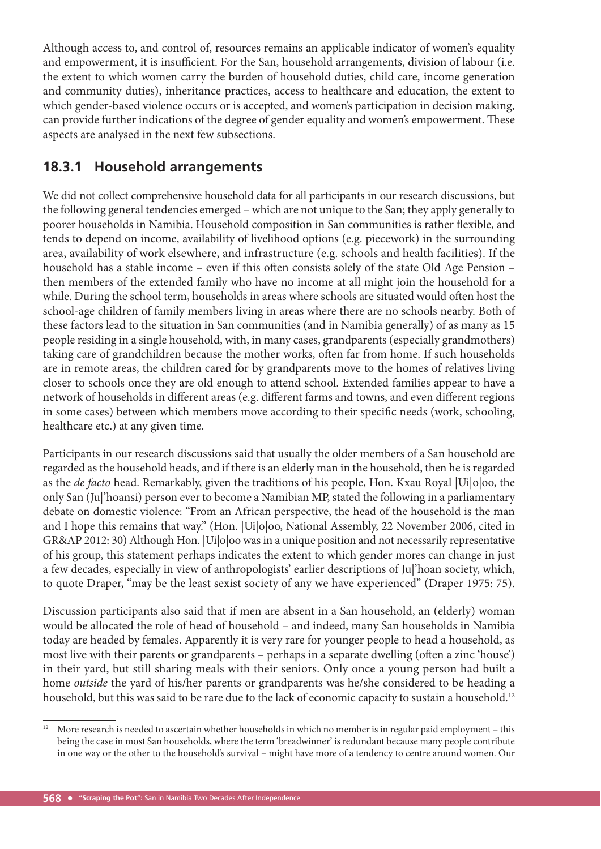Although access to, and control of, resources remains an applicable indicator of women's equality and empowerment, it is insufficient. For the San, household arrangements, division of labour (i.e. the extent to which women carry the burden of household duties, child care, income generation and community duties), inheritance practices, access to healthcare and education, the extent to which gender-based violence occurs or is accepted, and women's participation in decision making, can provide further indications of the degree of gender equality and women's empowerment. These aspects are analysed in the next few subsections.

## **18.3.1 Household arrangements**

We did not collect comprehensive household data for all participants in our research discussions, but the following general tendencies emerged – which are not unique to the San; they apply generally to poorer households in Namibia. Household composition in San communities is rather flexible, and tends to depend on income, availability of livelihood options (e.g. piecework) in the surrounding area, availability of work elsewhere, and infrastructure (e.g. schools and health facilities). If the household has a stable income – even if this often consists solely of the state Old Age Pension – then members of the extended family who have no income at all might join the household for a while. During the school term, households in areas where schools are situated would often host the school-age children of family members living in areas where there are no schools nearby. Both of these factors lead to the situation in San communities (and in Namibia generally) of as many as 15 people residing in a single household, with, in many cases, grandparents (especially grandmothers) taking care of grandchildren because the mother works, often far from home. If such households are in remote areas, the children cared for by grandparents move to the homes of relatives living closer to schools once they are old enough to attend school. Extended families appear to have a network of households in different areas (e.g. different farms and towns, and even different regions in some cases) between which members move according to their specific needs (work, schooling, healthcare etc.) at any given time.

Participants in our research discussions said that usually the older members of a San household are regarded as the household heads, and if there is an elderly man in the household, then he is regarded as the *de facto* head. Remarkably, given the traditions of his people, Hon. Kxau Royal |Ui|o|oo, the only San (Ju|'hoansi) person ever to become a Namibian MP, stated the following in a parliamentary debate on domestic violence: "From an African perspective, the head of the household is the man and I hope this remains that way." (Hon. |Ui|o|oo, National Assembly, 22 November 2006, cited in GR&AP 2012: 30) Although Hon. |Ui|o|oo was in a unique position and not necessarily representative of his group, this statement perhaps indicates the extent to which gender mores can change in just a few decades, especially in view of anthropologists' earlier descriptions of Ju|'hoan society, which, to quote Draper, "may be the least sexist society of any we have experienced" (Draper 1975: 75).

Discussion participants also said that if men are absent in a San household, an (elderly) woman would be allocated the role of head of household – and indeed, many San households in Namibia today are headed by females. Apparently it is very rare for younger people to head a household, as most live with their parents or grandparents - perhaps in a separate dwelling (often a zinc 'house') in their yard, but still sharing meals with their seniors. Only once a young person had built a home *outside* the yard of his/her parents or grandparents was he/she considered to be heading a household, but this was said to be rare due to the lack of economic capacity to sustain a household.<sup>12</sup>

<sup>&</sup>lt;sup>12</sup> More research is needed to ascertain whether households in which no member is in regular paid employment – this being the case in most San households, where the term 'breadwinner' is redundant because many people contribute in one way or the other to the household's survival – might have more of a tendency to centre around women. Our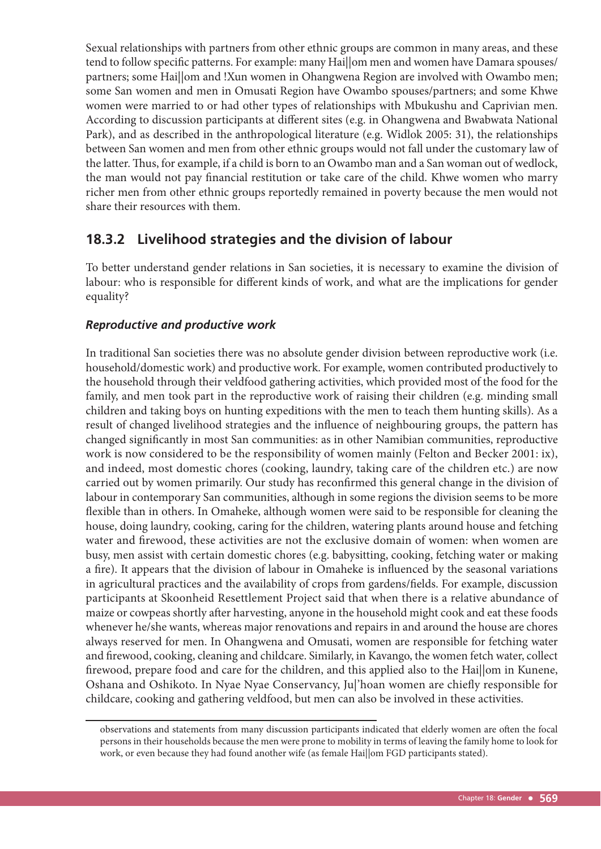Sexual relationships with partners from other ethnic groups are common in many areas, and these tend to follow specific patterns. For example: many Haillom men and women have Damara spouses/ partners; some Hai||om and !Xun women in Ohangwena Region are involved with Owambo men; some San women and men in Omusati Region have Owambo spouses/partners; and some Khwe women were married to or had other types of relationships with Mbukushu and Caprivian men. According to discussion participants at different sites (e.g. in Ohangwena and Bwabwata National Park), and as described in the anthropological literature (e.g. Widlok 2005: 31), the relationships between San women and men from other ethnic groups would not fall under the customary law of the latter. Thus, for example, if a child is born to an Owambo man and a San woman out of wedlock, the man would not pay financial restitution or take care of the child. Khwe women who marry richer men from other ethnic groups reportedly remained in poverty because the men would not share their resources with them.

## **18.3.2 Livelihood strategies and the division of labour**

To better understand gender relations in San societies, it is necessary to examine the division of labour: who is responsible for different kinds of work, and what are the implications for gender equality?

#### *Reproductive and productive work*

In traditional San societies there was no absolute gender division between reproductive work (i.e. household/domestic work) and productive work. For example, women contributed productively to the household through their veldfood gathering activities, which provided most of the food for the family, and men took part in the reproductive work of raising their children (e.g. minding small children and taking boys on hunting expeditions with the men to teach them hunting skills). As a result of changed livelihood strategies and the influence of neighbouring groups, the pattern has changed significantly in most San communities: as in other Namibian communities, reproductive work is now considered to be the responsibility of women mainly (Felton and Becker 2001: ix), and indeed, most domestic chores (cooking, laundry, taking care of the children etc.) are now carried out by women primarily. Our study has reconfirmed this general change in the division of labour in contemporary San communities, although in some regions the division seems to be more flexible than in others. In Omaheke, although women were said to be responsible for cleaning the house, doing laundry, cooking, caring for the children, watering plants around house and fetching water and firewood, these activities are not the exclusive domain of women: when women are busy, men assist with certain domestic chores (e.g. babysitting, cooking, fetching water or making a fire). It appears that the division of labour in Omaheke is influenced by the seasonal variations in agricultural practices and the availability of crops from gardens/fields. For example, discussion participants at Skoonheid Resettlement Project said that when there is a relative abundance of maize or cowpeas shortly after harvesting, anyone in the household might cook and eat these foods whenever he/she wants, whereas major renovations and repairs in and around the house are chores always reserved for men. In Ohangwena and Omusati, women are responsible for fetching water and firewood, cooking, cleaning and childcare. Similarly, in Kavango, the women fetch water, collect firewood, prepare food and care for the children, and this applied also to the Hai||om in Kunene, Oshana and Oshikoto. In Nyae Nyae Conservancy, Ju|'hoan women are chiefly responsible for childcare, cooking and gathering veldfood, but men can also be involved in these activities.

observations and statements from many discussion participants indicated that elderly women are often the focal persons in their households because the men were prone to mobility in terms of leaving the family home to look for work, or even because they had found another wife (as female Hai||om FGD participants stated).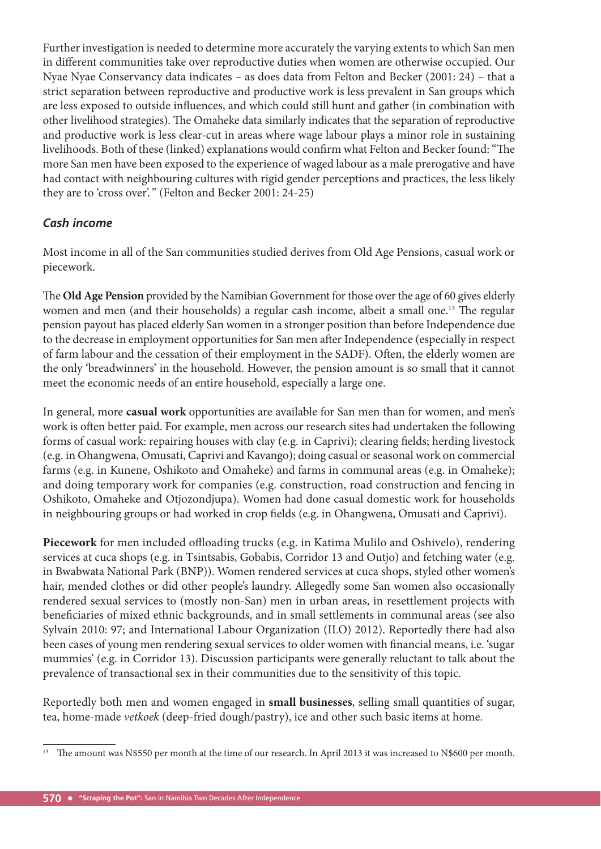Further investigation is needed to determine more accurately the varying extents to which San men in different communities take over reproductive duties when women are otherwise occupied. Our Nyae Nyae Conservancy data indicates – as does data from Felton and Becker (2001: 24) – that a strict separation between reproductive and productive work is less prevalent in San groups which are less exposed to outside influences, and which could still hunt and gather (in combination with other livelihood strategies). The Omaheke data similarly indicates that the separation of reproductive and productive work is less clear-cut in areas where wage labour plays a minor role in sustaining livelihoods. Both of these (linked) explanations would confirm what Felton and Becker found: "The more San men have been exposed to the experience of waged labour as a male prerogative and have had contact with neighbouring cultures with rigid gender perceptions and practices, the less likely they are to 'cross over'." (Felton and Becker 2001: 24-25)

#### *Cash income*

Most income in all of the San communities studied derives from Old Age Pensions, casual work or piecework.

The **Old Age Pension** provided by the Namibian Government for those over the age of 60 gives elderly women and men (and their households) a regular cash income, albeit a small one.<sup>13</sup> The regular pension payout has placed elderly San women in a stronger position than before Independence due to the decrease in employment opportunities for San men after Independence (especially in respect of farm labour and the cessation of their employment in the SADF). Often, the elderly women are the only 'breadwinners' in the household. However, the pension amount is so small that it cannot meet the economic needs of an entire household, especially a large one.

In general, more **casual work** opportunities are available for San men than for women, and men's work is often better paid. For example, men across our research sites had undertaken the following forms of casual work: repairing houses with clay (e.g. in Caprivi); clearing fields; herding livestock (e.g. in Ohangwena, Omusati, Caprivi and Kavango); doing casual or seasonal work on commercial farms (e.g. in Kunene, Oshikoto and Omaheke) and farms in communal areas (e.g. in Omaheke); and doing temporary work for companies (e.g. construction, road construction and fencing in Oshikoto, Omaheke and Otjozondjupa). Women had done casual domestic work for households in neighbouring groups or had worked in crop fields (e.g. in Ohangwena, Omusati and Caprivi).

Piecework for men included offloading trucks (e.g. in Katima Mulilo and Oshivelo), rendering services at cuca shops (e.g. in Tsintsabis, Gobabis, Corridor 13 and Outjo) and fetching water (e.g. in Bwabwata National Park (BNP)). Women rendered services at cuca shops, styled other women's hair, mended clothes or did other people's laundry. Allegedly some San women also occasionally rendered sexual services to (mostly non-San) men in urban areas, in resettlement projects with beneficiaries of mixed ethnic backgrounds, and in small settlements in communal areas (see also Sylvain 2010: 97; and International Labour Organization (ILO) 2012). Reportedly there had also been cases of young men rendering sexual services to older women with financial means, i.e. 'sugar mummies' (e.g. in Corridor 13). Discussion participants were generally reluctant to talk about the prevalence of transactional sex in their communities due to the sensitivity of this topic.

Reportedly both men and women engaged in **small businesses**, selling small quantities of sugar, tea, home-made *vetkoek* (deep-fried dough/pastry), ice and other such basic items at home.

<sup>&</sup>lt;sup>13</sup> The amount was N\$550 per month at the time of our research. In April 2013 it was increased to N\$600 per month.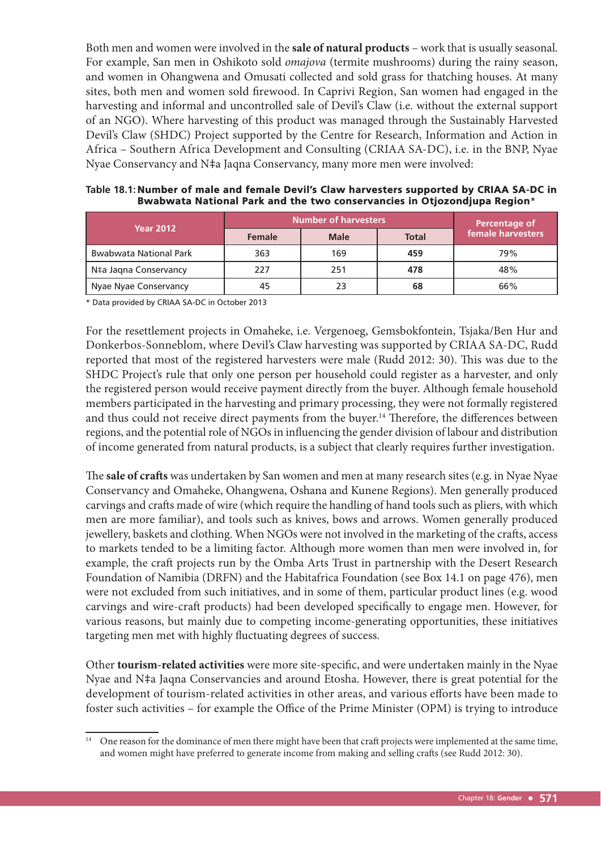Both men and women were involved in the **sale of natural products** – work that is usually seasonal. For example, San men in Oshikoto sold *omajova* (termite mushrooms) during the rainy season, and women in Ohangwena and Omusati collected and sold grass for thatching houses. At many sites, both men and women sold firewood. In Caprivi Region, San women had engaged in the harvesting and informal and uncontrolled sale of Devil's Claw (i.e. without the external support of an NGO). Where harvesting of this product was managed through the Sustainably Harvested Devil's Claw (SHDC) Project supported by the Centre for Research, Information and Action in Africa – Southern Africa Development and Consulting (CRIAA SA-DC), i.e. in the BNP, Nyae Nyae Conservancy and N‡a Jaqna Conservancy, many more men were involved:

| Table 18.1: Number of male and female Devil's Claw harvesters supported by CRIAA SA-DC in |
|-------------------------------------------------------------------------------------------|
| Bwabwata National Park and the two conservancies in Otjozondjupa Region*                  |

| <b>Year 2012</b>              | Number of harvesters |             |              | Percentage of     |
|-------------------------------|----------------------|-------------|--------------|-------------------|
|                               | <b>Female</b>        | <b>Male</b> | <b>Total</b> | female harvesters |
| <b>Bwabwata National Park</b> | 363                  | 169         | 459          | 79%               |
| N‡a Jagna Conservancy         | 227                  | 251         | 478          | 48%               |
| Nyae Nyae Conservancy         | 45                   | 23          | 68           | 66%               |

\* Data provided by CRIAA SA-DC in October 2013

For the resettlement projects in Omaheke, i.e. Vergenoeg, Gemsbokfontein, Tsjaka/Ben Hur and Donkerbos-Sonneblom, where Devil's Claw harvesting was supported by CRIAA SA-DC, Rudd reported that most of the registered harvesters were male (Rudd 2012: 30). This was due to the SHDC Project's rule that only one person per household could register as a harvester, and only the registered person would receive payment directly from the buyer. Although female household members participated in the harvesting and primary processing, they were not formally registered and thus could not receive direct payments from the buyer.<sup>14</sup> Therefore, the differences between regions, and the potential role of NGOs in influencing the gender division of labour and distribution of income generated from natural products, is a subject that clearly requires further investigation.

The **sale of crafts** was undertaken by San women and men at many research sites (e.g. in Nyae Nyae Conservancy and Omaheke, Ohangwena, Oshana and Kunene Regions). Men generally produced carvings and crafts made of wire (which require the handling of hand tools such as pliers, with which men are more familiar), and tools such as knives, bows and arrows. Women generally produced jewellery, baskets and clothing. When NGOs were not involved in the marketing of the crafts, access to markets tended to be a limiting factor. Although more women than men were involved in, for example, the craft projects run by the Omba Arts Trust in partnership with the Desert Research Foundation of Namibia (DRFN) and the Habitafrica Foundation (see Box 14.1 on page 476), men were not excluded from such initiatives, and in some of them, particular product lines (e.g. wood carvings and wire-craft products) had been developed specifically to engage men. However, for various reasons, but mainly due to competing income-generating opportunities, these initiatives targeting men met with highly fluctuating degrees of success.

Other **tourism-related activities** were more site-specific, and were undertaken mainly in the Nyae Nyae and N‡a Jaqna Conservancies and around Etosha. However, there is great potential for the development of tourism-related activities in other areas, and various efforts have been made to foster such activities – for example the Office of the Prime Minister (OPM) is trying to introduce

<sup>&</sup>lt;sup>14</sup> One reason for the dominance of men there might have been that craft projects were implemented at the same time, and women might have preferred to generate income from making and selling crafts (see Rudd 2012: 30).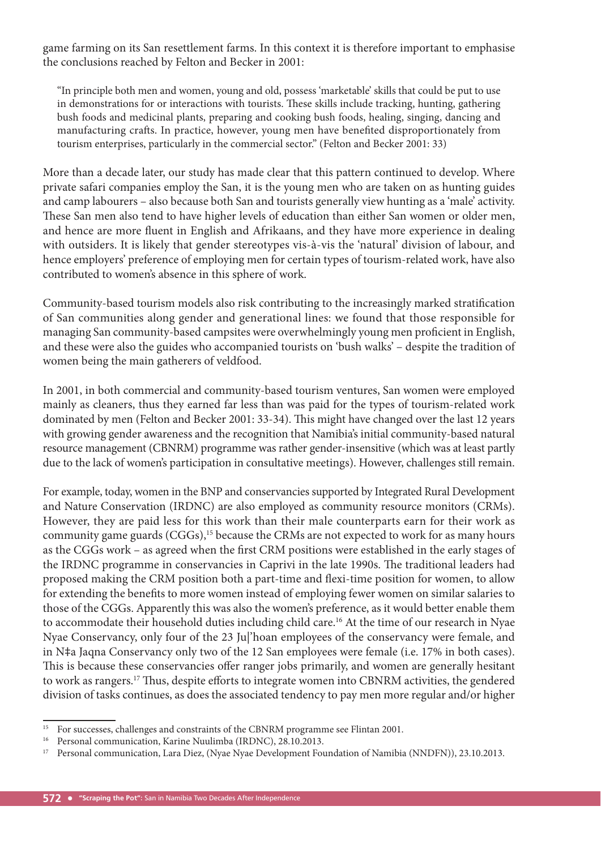game farming on its San resettlement farms. In this context it is therefore important to emphasise the conclusions reached by Felton and Becker in 2001:

"In principle both men and women, young and old, possess 'marketable' skills that could be put to use in demonstrations for or interactions with tourists. These skills include tracking, hunting, gathering bush foods and medicinal plants, preparing and cooking bush foods, healing, singing, dancing and manufacturing crafts. In practice, however, young men have benefited disproportionately from tourism enterprises, particularly in the commercial sector." (Felton and Becker 2001: 33)

More than a decade later, our study has made clear that this pattern continued to develop. Where private safari companies employ the San, it is the young men who are taken on as hunting guides and camp labourers – also because both San and tourists generally view hunting as a 'male' activity. These San men also tend to have higher levels of education than either San women or older men, and hence are more fluent in English and Afrikaans, and they have more experience in dealing with outsiders. It is likely that gender stereotypes vis-à-vis the 'natural' division of labour, and hence employers' preference of employing men for certain types of tourism-related work, have also contributed to women's absence in this sphere of work.

Community-based tourism models also risk contributing to the increasingly marked stratification of San communities along gender and generational lines: we found that those responsible for managing San community-based campsites were overwhelmingly young men proficient in English, and these were also the guides who accompanied tourists on 'bush walks' – despite the tradition of women being the main gatherers of veldfood.

In 2001, in both commercial and community-based tourism ventures, San women were employed mainly as cleaners, thus they earned far less than was paid for the types of tourism-related work dominated by men (Felton and Becker 2001: 33-34). This might have changed over the last 12 years with growing gender awareness and the recognition that Namibia's initial community-based natural resource management (CBNRM) programme was rather gender-insensitive (which was at least partly due to the lack of women's participation in consultative meetings). However, challenges still remain.

For example, today, women in the BNP and conservancies supported by Integrated Rural Development and Nature Conservation (IRDNC) are also employed as community resource monitors (CRMs). However, they are paid less for this work than their male counterparts earn for their work as community game guards (CGGs),<sup>15</sup> because the CRMs are not expected to work for as many hours as the CGGs work – as agreed when the first CRM positions were established in the early stages of the IRDNC programme in conservancies in Caprivi in the late 1990s. The traditional leaders had proposed making the CRM position both a part-time and flexi-time position for women, to allow for extending the benefits to more women instead of employing fewer women on similar salaries to those of the CGGs. Apparently this was also the women's preference, as it would better enable them to accommodate their household duties including child care.<sup>16</sup> At the time of our research in Nyae Nyae Conservancy, only four of the 23 Ju|'hoan employees of the conservancy were female, and in N‡a Jaqna Conservancy only two of the 12 San employees were female (i.e. 17% in both cases). This is because these conservancies offer ranger jobs primarily, and women are generally hesitant to work as rangers.<sup>17</sup> Thus, despite efforts to integrate women into CBNRM activities, the gendered division of tasks continues, as does the associated tendency to pay men more regular and/or higher

<sup>&</sup>lt;sup>15</sup> For successes, challenges and constraints of the CBNRM programme see Flintan 2001.<br><sup>16</sup> Demonstration Legina Nuulimbe (IBDNC), 28, 10, 2013.

Personal communication, Karine Nuulimba (IRDNC), 28.10.2013.

<sup>&</sup>lt;sup>17</sup> Personal communication, Lara Diez, (Nyae Nyae Development Foundation of Namibia (NNDFN)), 23.10.2013.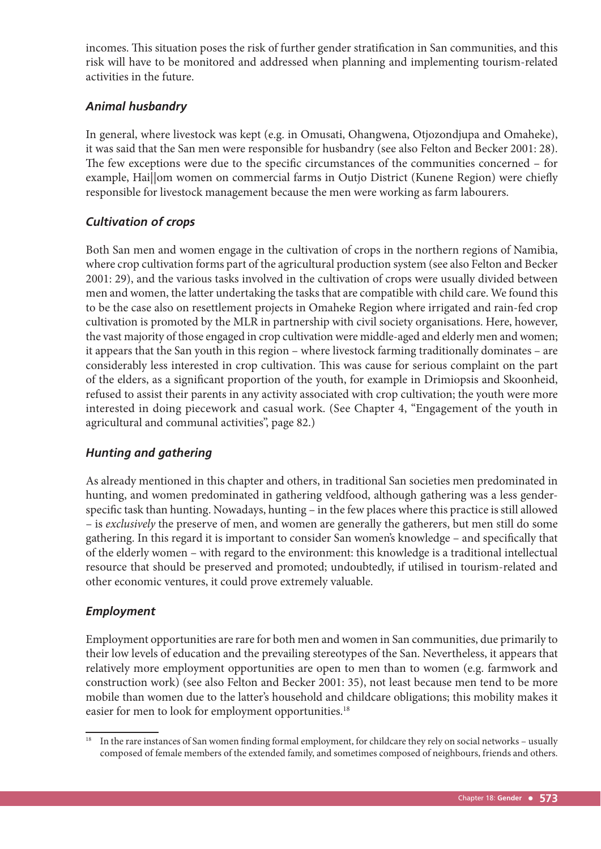incomes. This situation poses the risk of further gender stratification in San communities, and this risk will have to be monitored and addressed when planning and implementing tourism-related activities in the future.

#### *Animal husbandry*

In general, where livestock was kept (e.g. in Omusati, Ohangwena, Otjozondjupa and Omaheke), it was said that the San men were responsible for husbandry (see also Felton and Becker 2001: 28). The few exceptions were due to the specific circumstances of the communities concerned – for example, Hai||om women on commercial farms in Outjo District (Kunene Region) were chiefly responsible for livestock management because the men were working as farm labourers.

#### *Cultivation of crops*

Both San men and women engage in the cultivation of crops in the northern regions of Namibia, where crop cultivation forms part of the agricultural production system (see also Felton and Becker 2001: 29), and the various tasks involved in the cultivation of crops were usually divided between men and women, the latter undertaking the tasks that are compatible with child care. We found this to be the case also on resettlement projects in Omaheke Region where irrigated and rain-fed crop cultivation is promoted by the MLR in partnership with civil society organisations. Here, however, the vast majority of those engaged in crop cultivation were middle-aged and elderly men and women; it appears that the San youth in this region – where livestock farming traditionally dominates – are considerably less interested in crop cultivation. This was cause for serious complaint on the part of the elders, as a significant proportion of the youth, for example in Drimiopsis and Skoonheid, refused to assist their parents in any activity associated with crop cultivation; the youth were more interested in doing piecework and casual work. (See Chapter 4, "Engagement of the youth in agricultural and communal activities", page 82.)

#### *Hunting and gathering*

As already mentioned in this chapter and others, in traditional San societies men predominated in hunting, and women predominated in gathering veldfood, although gathering was a less genderspecific task than hunting. Nowadays, hunting – in the few places where this practice is still allowed – is *exclusively* the preserve of men, and women are generally the gatherers, but men still do some gathering. In this regard it is important to consider San women's knowledge – and specifically that of the elderly women – with regard to the environment: this knowledge is a traditional intellectual resource that should be preserved and promoted; undoubtedly, if utilised in tourism-related and other economic ventures, it could prove extremely valuable.

#### *Employment*

Employment opportunities are rare for both men and women in San communities, due primarily to their low levels of education and the prevailing stereotypes of the San. Nevertheless, it appears that relatively more employment opportunities are open to men than to women (e.g. farmwork and construction work) (see also Felton and Becker 2001: 35), not least because men tend to be more mobile than women due to the latter's household and childcare obligations; this mobility makes it easier for men to look for employment opportunities.<sup>18</sup>

<sup>&</sup>lt;sup>18</sup> In the rare instances of San women finding formal employment, for childcare they rely on social networks - usually composed of female members of the extended family, and sometimes composed of neighbours, friends and others.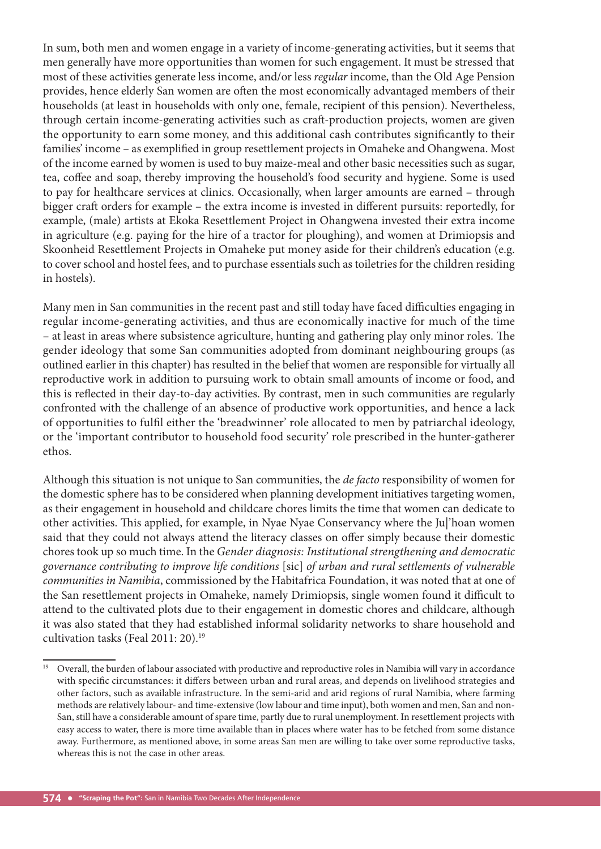In sum, both men and women engage in a variety of income-generating activities, but it seems that men generally have more opportunities than women for such engagement. It must be stressed that most of these activities generate less income, and/or less *regular* income, than the Old Age Pension provides, hence elderly San women are often the most economically advantaged members of their households (at least in households with only one, female, recipient of this pension). Nevertheless, through certain income-generating activities such as craft -production projects, women are given the opportunity to earn some money, and this additional cash contributes significantly to their families' income – as exemplified in group resettlement projects in Omaheke and Ohangwena. Most of the income earned by women is used to buy maize-meal and other basic necessities such as sugar, tea, coffee and soap, thereby improving the household's food security and hygiene. Some is used to pay for healthcare services at clinics. Occasionally, when larger amounts are earned – through bigger craft orders for example – the extra income is invested in different pursuits: reportedly, for example, (male) artists at Ekoka Resettlement Project in Ohangwena invested their extra income in agriculture (e.g. paying for the hire of a tractor for ploughing), and women at Drimiopsis and Skoonheid Resettlement Projects in Omaheke put money aside for their children's education (e.g. to cover school and hostel fees, and to purchase essentials such as toiletries for the children residing in hostels).

Many men in San communities in the recent past and still today have faced difficulties engaging in regular income-generating activities, and thus are economically inactive for much of the time – at least in areas where subsistence agriculture, hunting and gathering play only minor roles. The gender ideology that some San communities adopted from dominant neighbouring groups (as outlined earlier in this chapter) has resulted in the belief that women are responsible for virtually all reproductive work in addition to pursuing work to obtain small amounts of income or food, and this is reflected in their day-to-day activities. By contrast, men in such communities are regularly confronted with the challenge of an absence of productive work opportunities, and hence a lack of opportunities to fulfil either the 'breadwinner' role allocated to men by patriarchal ideology, or the 'important contributor to household food security' role prescribed in the hunter-gatherer ethos.

Although this situation is not unique to San communities, the *de facto* responsibility of women for the domestic sphere has to be considered when planning development initiatives targeting women, as their engagement in household and childcare chores limits the time that women can dedicate to other activities. This applied, for example, in Nyae Nyae Conservancy where the Ju|'hoan women said that they could not always attend the literacy classes on offer simply because their domestic chores took up so much time. In the *Gender diagnosis: Institutional strengthening and democratic governance contributing to improve life conditions* [sic] *of urban and rural settlements of vulnerable communities in Namibia*, commissioned by the Habitafrica Foundation, it was noted that at one of the San resettlement projects in Omaheke, namely Drimiopsis, single women found it difficult to attend to the cultivated plots due to their engagement in domestic chores and childcare, although it was also stated that they had established informal solidarity networks to share household and cultivation tasks (Feal 2011: 20).<sup>19</sup>

<sup>&</sup>lt;sup>19</sup> Overall, the burden of labour associated with productive and reproductive roles in Namibia will vary in accordance with specific circumstances: it differs between urban and rural areas, and depends on livelihood strategies and other factors, such as available infrastructure. In the semi-arid and arid regions of rural Namibia, where farming methods are relatively labour- and time-extensive (low labour and time input), both women and men, San and non-San, still have a considerable amount of spare time, partly due to rural unemployment. In resettlement projects with easy access to water, there is more time available than in places where water has to be fetched from some distance away. Furthermore, as mentioned above, in some areas San men are willing to take over some reproductive tasks, whereas this is not the case in other areas.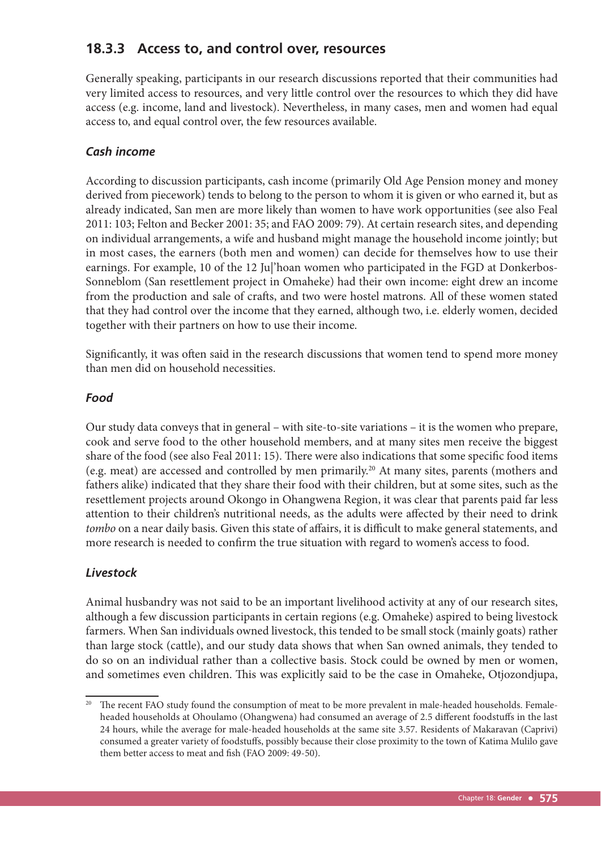## **18.3.3 Access to, and control over, resources**

Generally speaking, participants in our research discussions reported that their communities had very limited access to resources, and very little control over the resources to which they did have access (e.g. income, land and livestock). Nevertheless, in many cases, men and women had equal access to, and equal control over, the few resources available.

#### *Cash income*

According to discussion participants, cash income (primarily Old Age Pension money and money derived from piecework) tends to belong to the person to whom it is given or who earned it, but as already indicated, San men are more likely than women to have work opportunities (see also Feal 2011: 103; Felton and Becker 2001: 35; and FAO 2009: 79). At certain research sites, and depending on individual arrangements, a wife and husband might manage the household income jointly; but in most cases, the earners (both men and women) can decide for themselves how to use their earnings. For example, 10 of the 12 Ju|'hoan women who participated in the FGD at Donkerbos-Sonneblom (San resettlement project in Omaheke) had their own income: eight drew an income from the production and sale of crafts, and two were hostel matrons. All of these women stated that they had control over the income that they earned, although two, i.e. elderly women, decided together with their partners on how to use their income.

Significantly, it was often said in the research discussions that women tend to spend more money than men did on household necessities.

#### *Food*

Our study data conveys that in general – with site-to-site variations – it is the women who prepare, cook and serve food to the other household members, and at many sites men receive the biggest share of the food (see also Feal 2011: 15). There were also indications that some specific food items (e.g. meat) are accessed and controlled by men primarily.20 At many sites, parents (mothers and fathers alike) indicated that they share their food with their children, but at some sites, such as the resettlement projects around Okongo in Ohangwena Region, it was clear that parents paid far less attention to their children's nutritional needs, as the adults were affected by their need to drink *tombo* on a near daily basis. Given this state of affairs, it is difficult to make general statements, and more research is needed to confirm the true situation with regard to women's access to food.

#### *Livestock*

Animal husbandry was not said to be an important livelihood activity at any of our research sites, although a few discussion participants in certain regions (e.g. Omaheke) aspired to being livestock farmers. When San individuals owned livestock, this tended to be small stock (mainly goats) rather than large stock (cattle), and our study data shows that when San owned animals, they tended to do so on an individual rather than a collective basis. Stock could be owned by men or women, and sometimes even children. This was explicitly said to be the case in Omaheke, Otjozondjupa,

The recent FAO study found the consumption of meat to be more prevalent in male-headed households. Femaleheaded households at Ohoulamo (Ohangwena) had consumed an average of 2.5 different foodstuffs in the last 24 hours, while the average for male-headed households at the same site 3.57. Residents of Makaravan (Caprivi) consumed a greater variety of foodstuffs, possibly because their close proximity to the town of Katima Mulilo gave them better access to meat and fish (FAO 2009: 49-50).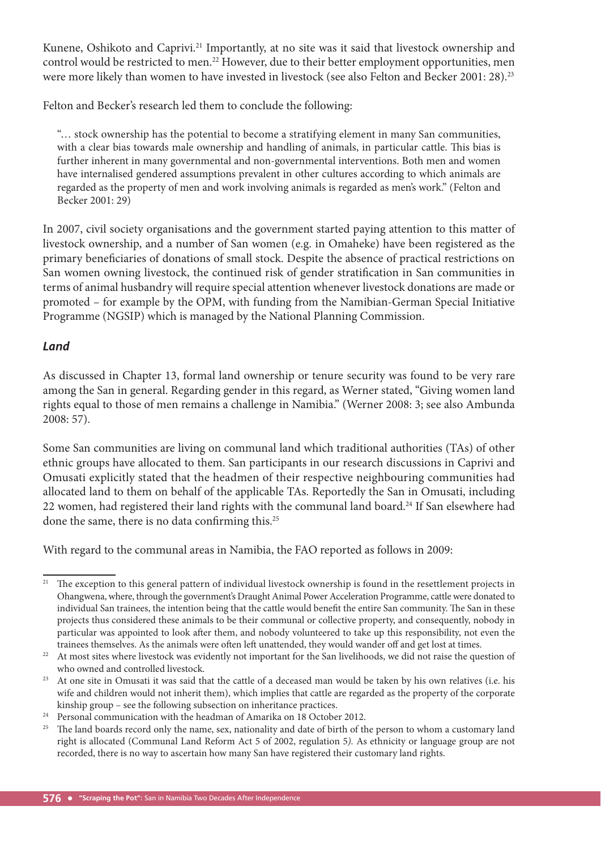Kunene, Oshikoto and Caprivi.<sup>21</sup> Importantly, at no site was it said that livestock ownership and control would be restricted to men.<sup>22</sup> However, due to their better employment opportunities, men were more likely than women to have invested in livestock (see also Felton and Becker 2001: 28).<sup>23</sup>

Felton and Becker's research led them to conclude the following:

"… stock ownership has the potential to become a stratifying element in many San communities, with a clear bias towards male ownership and handling of animals, in particular cattle. This bias is further inherent in many governmental and non-governmental interventions. Both men and women have internalised gendered assumptions prevalent in other cultures according to which animals are regarded as the property of men and work involving animals is regarded as men's work." (Felton and Becker 2001: 29)

In 2007, civil society organisations and the government started paying attention to this matter of livestock ownership, and a number of San women (e.g. in Omaheke) have been registered as the primary beneficiaries of donations of small stock. Despite the absence of practical restrictions on San women owning livestock, the continued risk of gender stratification in San communities in terms of animal husbandry will require special attention whenever livestock donations are made or promoted – for example by the OPM, with funding from the Namibian-German Special Initiative Programme (NGSIP) which is managed by the National Planning Commission.

#### *Land*

As discussed in Chapter 13, formal land ownership or tenure security was found to be very rare among the San in general. Regarding gender in this regard, as Werner stated, "Giving women land rights equal to those of men remains a challenge in Namibia." (Werner 2008: 3; see also Ambunda 2008: 57).

Some San communities are living on communal land which traditional authorities (TAs) of other ethnic groups have allocated to them. San participants in our research discussions in Caprivi and Omusati explicitly stated that the headmen of their respective neighbouring communities had allocated land to them on behalf of the applicable TAs. Reportedly the San in Omusati, including 22 women, had registered their land rights with the communal land board.<sup>24</sup> If San elsewhere had done the same, there is no data confirming this.<sup>25</sup>

With regard to the communal areas in Namibia, the FAO reported as follows in 2009:

<sup>&</sup>lt;sup>21</sup> The exception to this general pattern of individual livestock ownership is found in the resettlement projects in Ohangwena, where, through the government's Draught Animal Power Acceleration Programme, cattle were donated to individual San trainees, the intention being that the cattle would benefit the entire San community. The San in these projects thus considered these animals to be their communal or collective property, and consequently, nobody in particular was appointed to look after them, and nobody volunteered to take up this responsibility, not even the trainees themselves. As the animals were often left unattended, they would wander off and get lost at times.

<sup>&</sup>lt;sup>22</sup> At most sites where livestock was evidently not important for the San livelihoods, we did not raise the question of who owned and controlled livestock.

<sup>&</sup>lt;sup>23</sup> At one site in Omusati it was said that the cattle of a deceased man would be taken by his own relatives (i.e. his wife and children would not inherit them), which implies that cattle are regarded as the property of the corporate kinship group – see the following subsection on inheritance practices.

<sup>&</sup>lt;sup>24</sup> Personal communication with the headman of Amarika on 18 October 2012.

The land boards record only the name, sex, nationality and date of birth of the person to whom a customary land right is allocated (Communal Land Reform Act 5 of 2002, regulation 5*).* As ethnicity or language group are not recorded, there is no way to ascertain how many San have registered their customary land rights.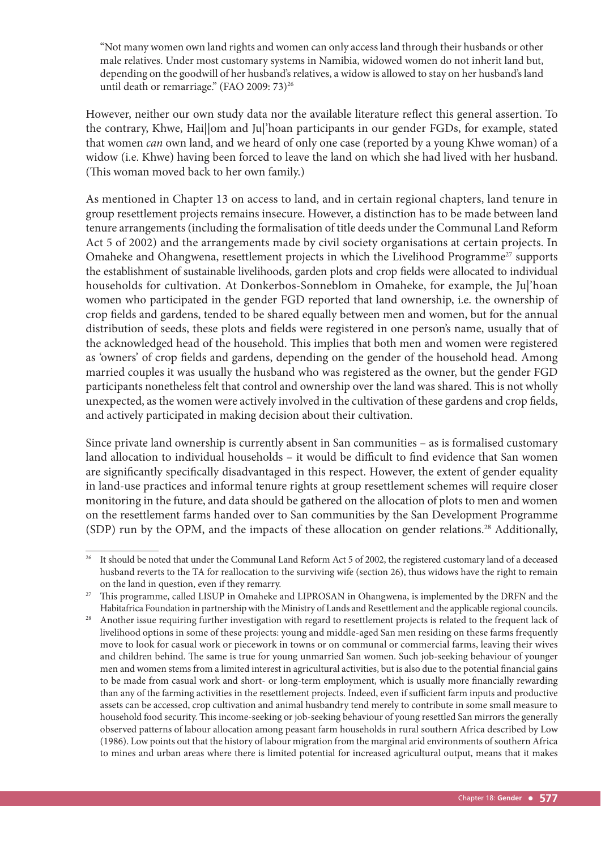"Not many women own land rights and women can only access land through their husbands or other male relatives. Under most customary systems in Namibia, widowed women do not inherit land but, depending on the goodwill of her husband's relatives, a widow is allowed to stay on her husband's land until death or remarriage." (FAO 2009: 73)<sup>26</sup>

However, neither our own study data nor the available literature reflect this general assertion. To the contrary, Khwe, Hai||om and Ju|'hoan participants in our gender FGDs, for example, stated that women *can* own land, and we heard of only one case (reported by a young Khwe woman) of a widow (i.e. Khwe) having been forced to leave the land on which she had lived with her husband. (This woman moved back to her own family.)

As mentioned in Chapter 13 on access to land, and in certain regional chapters, land tenure in group resettlement projects remains insecure. However, a distinction has to be made between land tenure arrangements (including the formalisation of title deeds under the Communal Land Reform Act 5 of 2002) and the arrangements made by civil society organisations at certain projects. In Omaheke and Ohangwena, resettlement projects in which the Livelihood Programme<sup>27</sup> supports the establishment of sustainable livelihoods, garden plots and crop fields were allocated to individual households for cultivation. At Donkerbos-Sonneblom in Omaheke, for example, the Ju|'hoan women who participated in the gender FGD reported that land ownership, i.e. the ownership of crop fields and gardens, tended to be shared equally between men and women, but for the annual distribution of seeds, these plots and fields were registered in one person's name, usually that of the acknowledged head of the household. This implies that both men and women were registered as 'owners' of crop fields and gardens, depending on the gender of the household head. Among married couples it was usually the husband who was registered as the owner, but the gender FGD participants nonetheless felt that control and ownership over the land was shared. This is not wholly unexpected, as the women were actively involved in the cultivation of these gardens and crop fields, and actively participated in making decision about their cultivation.

Since private land ownership is currently absent in San communities – as is formalised customary land allocation to individual households - it would be difficult to find evidence that San women are significantly specifically disadvantaged in this respect. However, the extent of gender equality in land-use practices and informal tenure rights at group resettlement schemes will require closer monitoring in the future, and data should be gathered on the allocation of plots to men and women on the resettlement farms handed over to San communities by the San Development Programme (SDP) run by the OPM, and the impacts of these allocation on gender relations.<sup>28</sup> Additionally,

<sup>&</sup>lt;sup>26</sup> It should be noted that under the Communal Land Reform Act 5 of 2002, the registered customary land of a deceased husband reverts to the TA for reallocation to the surviving wife (section 26), thus widows have the right to remain on the land in question, even if they remarry.

<sup>&</sup>lt;sup>27</sup> This programme, called LISUP in Omaheke and LIPROSAN in Ohangwena, is implemented by the DRFN and the Habitafrica Foundation in partnership with the Ministry of Lands and Resettlement and the applicable regional councils.

<sup>&</sup>lt;sup>28</sup> Another issue requiring further investigation with regard to resettlement projects is related to the frequent lack of livelihood options in some of these projects: young and middle-aged San men residing on these farms frequently move to look for casual work or piecework in towns or on communal or commercial farms, leaving their wives and children behind. The same is true for young unmarried San women. Such job-seeking behaviour of younger men and women stems from a limited interest in agricultural activities, but is also due to the potential financial gains to be made from casual work and short- or long-term employment, which is usually more financially rewarding than any of the farming activities in the resettlement projects. Indeed, even if sufficient farm inputs and productive assets can be accessed, crop cultivation and animal husbandry tend merely to contribute in some small measure to household food security. This income-seeking or job-seeking behaviour of young resettled San mirrors the generally observed patterns of labour allocation among peasant farm households in rural southern Africa described by Low (1986). Low points out that the history of labour migration from the marginal arid environments of southern Africa to mines and urban areas where there is limited potential for increased agricultural output, means that it makes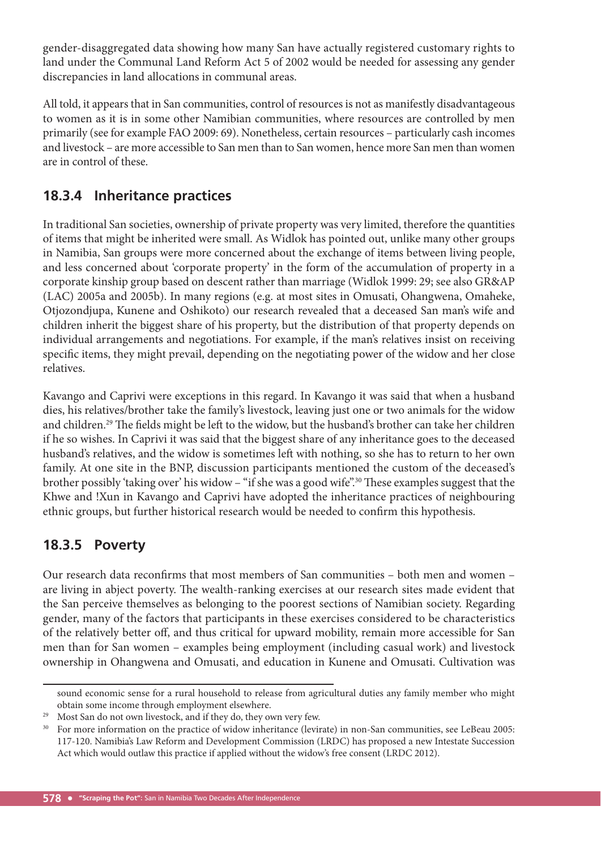gender-disaggregated data showing how many San have actually registered customary rights to land under the Communal Land Reform Act 5 of 2002 would be needed for assessing any gender discrepancies in land allocations in communal areas.

All told, it appears that in San communities, control of resources is not as manifestly disadvantageous to women as it is in some other Namibian communities, where resources are controlled by men primarily (see for example FAO 2009: 69). Nonetheless, certain resources – particularly cash incomes and livestock – are more accessible to San men than to San women, hence more San men than women are in control of these.

# **18.3.4 Inheritance practices**

In traditional San societies, ownership of private property was very limited, therefore the quantities of items that might be inherited were small. As Widlok has pointed out, unlike many other groups in Namibia, San groups were more concerned about the exchange of items between living people, and less concerned about 'corporate property' in the form of the accumulation of property in a corporate kinship group based on descent rather than marriage (Widlok 1999: 29; see also GR&AP (LAC) 2005a and 2005b). In many regions (e.g. at most sites in Omusati, Ohangwena, Omaheke, Otjozondjupa, Kunene and Oshikoto) our research revealed that a deceased San man's wife and children inherit the biggest share of his property, but the distribution of that property depends on individual arrangements and negotiations. For example, if the man's relatives insist on receiving specific items, they might prevail, depending on the negotiating power of the widow and her close relatives.

Kavango and Caprivi were exceptions in this regard. In Kavango it was said that when a husband dies, his relatives/brother take the family's livestock, leaving just one or two animals for the widow and children.<sup>29</sup> The fields might be left to the widow, but the husband's brother can take her children if he so wishes. In Caprivi it was said that the biggest share of any inheritance goes to the deceased husband's relatives, and the widow is sometimes left with nothing, so she has to return to her own family. At one site in the BNP, discussion participants mentioned the custom of the deceased's brother possibly 'taking over' his widow – "if she was a good wife".<sup>30</sup> These examples suggest that the Khwe and !Xun in Kavango and Caprivi have adopted the inheritance practices of neighbouring ethnic groups, but further historical research would be needed to confirm this hypothesis.

## **18.3.5 Poverty**

Our research data reconfirms that most members of San communities - both men and women are living in abject poverty. The wealth-ranking exercises at our research sites made evident that the San perceive themselves as belonging to the poorest sections of Namibian society. Regarding gender, many of the factors that participants in these exercises considered to be characteristics of the relatively better off, and thus critical for upward mobility, remain more accessible for San men than for San women – examples being employment (including casual work) and livestock ownership in Ohangwena and Omusati, and education in Kunene and Omusati. Cultivation was

sound economic sense for a rural household to release from agricultural duties any family member who might obtain some income through employment elsewhere.

<sup>&</sup>lt;sup>29</sup> Most San do not own livestock, and if they do, they own very few.

<sup>&</sup>lt;sup>30</sup> For more information on the practice of widow inheritance (levirate) in non-San communities, see LeBeau 2005: 117-120. Namibia's Law Reform and Development Commission (LRDC) has proposed a new Intestate Succession Act which would outlaw this practice if applied without the widow's free consent (LRDC 2012).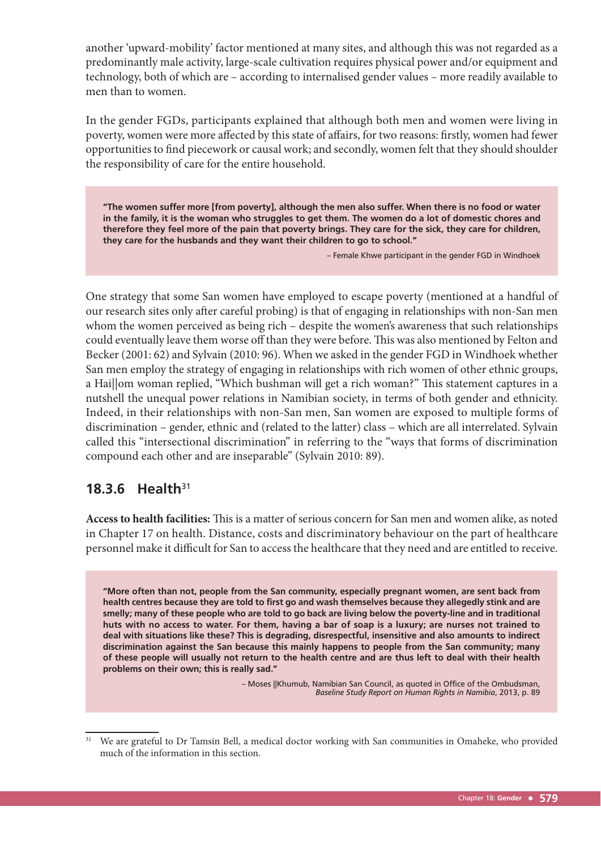another 'upward-mobility' factor mentioned at many sites, and although this was not regarded as a predominantly male activity, large-scale cultivation requires physical power and/or equipment and technology, both of which are – according to internalised gender values – more readily available to men than to women.

In the gender FGDs, participants explained that although both men and women were living in poverty, women were more affected by this state of affairs, for two reasons: firstly, women had fewer opportunities to find piecework or causal work; and secondly, women felt that they should shoulder the responsibility of care for the entire household.

**"The women suffer more [from poverty], although the men also suffer. When there is no food or water in the family, it is the woman who struggles to get them. The women do a lot of domestic chores and therefore they feel more of the pain that poverty brings. They care for the sick, they care for children, they care for the husbands and they want their children to go to school."**

– Female Khwe participant in the gender FGD in Windhoek

One strategy that some San women have employed to escape poverty (mentioned at a handful of our research sites only after careful probing) is that of engaging in relationships with non-San men whom the women perceived as being rich – despite the women's awareness that such relationships could eventually leave them worse off than they were before. This was also mentioned by Felton and Becker (2001: 62) and Sylvain (2010: 96). When we asked in the gender FGD in Windhoek whether San men employ the strategy of engaging in relationships with rich women of other ethnic groups, a Hai||om woman replied, "Which bushman will get a rich woman?" This statement captures in a nutshell the unequal power relations in Namibian society, in terms of both gender and ethnicity. Indeed, in their relationships with non-San men, San women are exposed to multiple forms of discrimination – gender, ethnic and (related to the latter) class – which are all interrelated. Sylvain called this "intersectional discrimination" in referring to the "ways that forms of discrimination compound each other and are inseparable" (Sylvain 2010: 89).

### **18.3.6 Health**<sup>31</sup>

Access to health facilities: This is a matter of serious concern for San men and women alike, as noted in Chapter 17 on health. Distance, costs and discriminatory behaviour on the part of healthcare personnel make it difficult for San to access the healthcare that they need and are entitled to receive.

**"More often than not, people from the San community, especially pregnant women, are sent back from health centres because they are told to first go and wash themselves because they allegedly stink and are smelly; many of these people who are told to go back are living below the poverty-line and in traditional huts with no access to water. For them, having a bar of soap is a luxury; are nurses not trained to deal with situations like these? This is degrading, disrespectful, insensitive and also amounts to indirect discrimination against the San because this mainly happens to people from the San community; many of these people will usually not return to the health centre and are thus left to deal with their health problems on their own; this is really sad."** 

> – Moses ||Khumub, Namibian San Council, as quoted in Office of the Ombudsman, *Baseline Study Report on Human Rights in Namibia*, 2013, p. 89

<sup>31</sup> We are grateful to Dr Tamsin Bell, a medical doctor working with San communities in Omaheke, who provided much of the information in this section.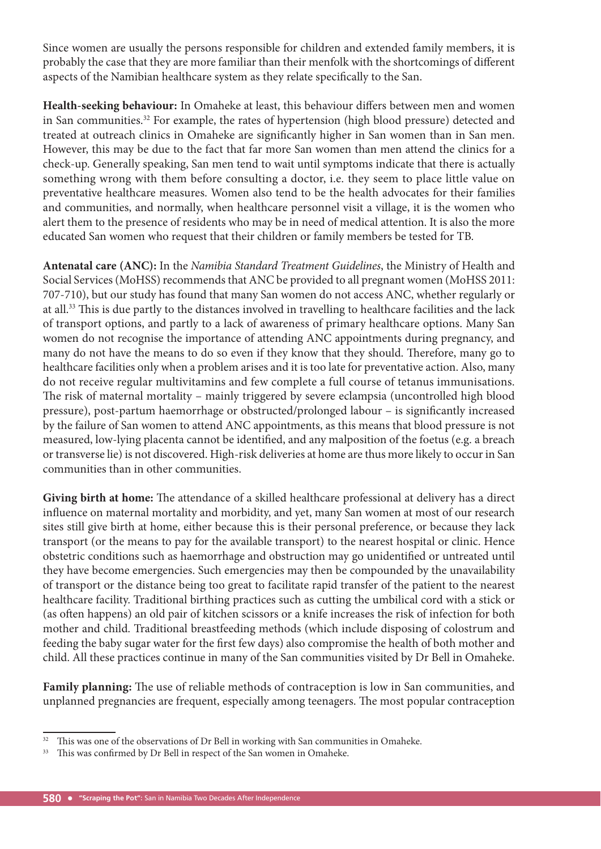Since women are usually the persons responsible for children and extended family members, it is probably the case that they are more familiar than their menfolk with the shortcomings of different aspects of the Namibian healthcare system as they relate specifically to the San.

Health-seeking behaviour: In Omaheke at least, this behaviour differs between men and women in San communities.32 For example, the rates of hypertension (high blood pressure) detected and treated at outreach clinics in Omaheke are significantly higher in San women than in San men. However, this may be due to the fact that far more San women than men attend the clinics for a check-up. Generally speaking, San men tend to wait until symptoms indicate that there is actually something wrong with them before consulting a doctor, i.e. they seem to place little value on preventative healthcare measures. Women also tend to be the health advocates for their families and communities, and normally, when healthcare personnel visit a village, it is the women who alert them to the presence of residents who may be in need of medical attention. It is also the more educated San women who request that their children or family members be tested for TB.

**Antenatal care (ANC):** In the *Namibia Standard Treatment Guidelines*, the Ministry of Health and Social Services (MoHSS) recommends that ANC be provided to all pregnant women (MoHSS 2011: 707-710), but our study has found that many San women do not access ANC, whether regularly or at all.<sup>33</sup> This is due partly to the distances involved in travelling to healthcare facilities and the lack of transport options, and partly to a lack of awareness of primary healthcare options. Many San women do not recognise the importance of attending ANC appointments during pregnancy, and many do not have the means to do so even if they know that they should. Therefore, many go to healthcare facilities only when a problem arises and it is too late for preventative action. Also, many do not receive regular multivitamins and few complete a full course of tetanus immunisations. The risk of maternal mortality – mainly triggered by severe eclampsia (uncontrolled high blood pressure), post-partum haemorrhage or obstructed/prolonged labour - is significantly increased by the failure of San women to attend ANC appointments, as this means that blood pressure is not measured, low-lying placenta cannot be identified, and any malposition of the foetus (e.g. a breach or transverse lie) is not discovered. High-risk deliveries at home are thus more likely to occur in San communities than in other communities.

Giving birth at home: The attendance of a skilled healthcare professional at delivery has a direct influence on maternal mortality and morbidity, and yet, many San women at most of our research sites still give birth at home, either because this is their personal preference, or because they lack transport (or the means to pay for the available transport) to the nearest hospital or clinic. Hence obstetric conditions such as haemorrhage and obstruction may go unidentified or untreated until they have become emergencies. Such emergencies may then be compounded by the unavailability of transport or the distance being too great to facilitate rapid transfer of the patient to the nearest healthcare facility. Traditional birthing practices such as cutting the umbilical cord with a stick or (as often happens) an old pair of kitchen scissors or a knife increases the risk of infection for both mother and child. Traditional breastfeeding methods (which include disposing of colostrum and feeding the baby sugar water for the first few days) also compromise the health of both mother and child. All these practices continue in many of the San communities visited by Dr Bell in Omaheke.

Family planning: The use of reliable methods of contraception is low in San communities, and unplanned pregnancies are frequent, especially among teenagers. The most popular contraception

 $32$  This was one of the observations of Dr Bell in working with San communities in Omaheke.

<sup>&</sup>lt;sup>33</sup> This was confirmed by Dr Bell in respect of the San women in Omaheke.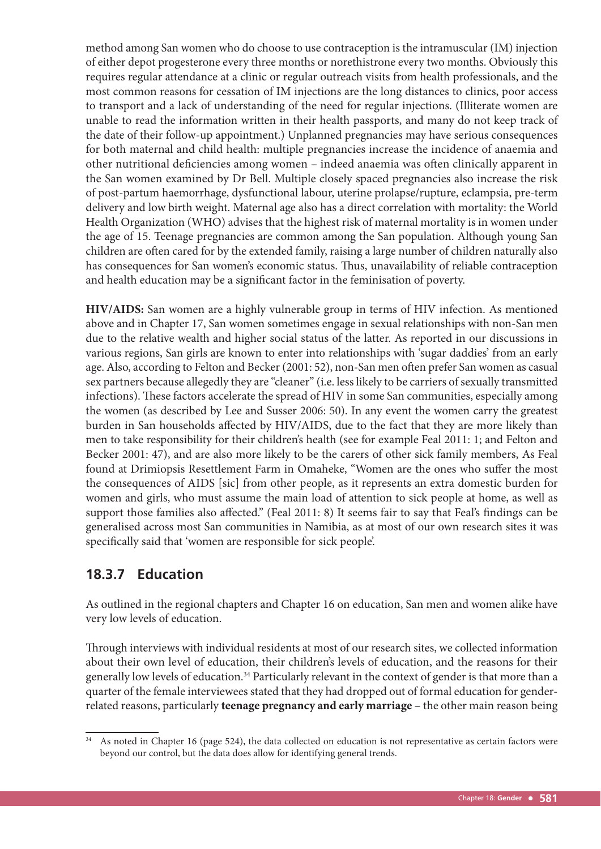method among San women who do choose to use contraception is the intramuscular (IM) injection of either depot progesterone every three months or norethistrone every two months. Obviously this requires regular attendance at a clinic or regular outreach visits from health professionals, and the most common reasons for cessation of IM injections are the long distances to clinics, poor access to transport and a lack of understanding of the need for regular injections. (Illiterate women are unable to read the information written in their health passports, and many do not keep track of the date of their follow-up appointment.) Unplanned pregnancies may have serious consequences for both maternal and child health: multiple pregnancies increase the incidence of anaemia and other nutritional deficiencies among women – indeed anaemia was often clinically apparent in the San women examined by Dr Bell. Multiple closely spaced pregnancies also increase the risk of post-partum haemorrhage, dysfunctional labour, uterine prolapse/rupture, eclampsia, pre-term delivery and low birth weight. Maternal age also has a direct correlation with mortality: the World Health Organization (WHO) advises that the highest risk of maternal mortality is in women under the age of 15. Teenage pregnancies are common among the San population. Although young San children are often cared for by the extended family, raising a large number of children naturally also has consequences for San women's economic status. Thus, unavailability of reliable contraception and health education may be a significant factor in the feminisation of poverty.

**HIV/AIDS:** San women are a highly vulnerable group in terms of HIV infection. As mentioned above and in Chapter 17, San women sometimes engage in sexual relationships with non-San men due to the relative wealth and higher social status of the latter. As reported in our discussions in various regions, San girls are known to enter into relationships with 'sugar daddies' from an early age. Also, according to Felton and Becker (2001: 52), non-San men often prefer San women as casual sex partners because allegedly they are "cleaner" (i.e. less likely to be carriers of sexually transmitted infections). These factors accelerate the spread of HIV in some San communities, especially among the women (as described by Lee and Susser 2006: 50). In any event the women carry the greatest burden in San households affected by HIV/AIDS, due to the fact that they are more likely than men to take responsibility for their children's health (see for example Feal 2011: 1; and Felton and Becker 2001: 47), and are also more likely to be the carers of other sick family members, As Feal found at Drimiopsis Resettlement Farm in Omaheke, "Women are the ones who suffer the most the consequences of AIDS [sic] from other people, as it represents an extra domestic burden for women and girls, who must assume the main load of attention to sick people at home, as well as support those families also affected." (Feal 2011: 8) It seems fair to say that Feal's findings can be generalised across most San communities in Namibia, as at most of our own research sites it was specifically said that 'women are responsible for sick people'.

# **18.3.7 Education**

As outlined in the regional chapters and Chapter 16 on education, San men and women alike have very low levels of education.

Through interviews with individual residents at most of our research sites, we collected information about their own level of education, their children's levels of education, and the reasons for their generally low levels of education.<sup>34</sup> Particularly relevant in the context of gender is that more than a quarter of the female interviewees stated that they had dropped out of formal education for genderrelated reasons, particularly **teenage pregnancy and early marriage** – the other main reason being

As noted in Chapter 16 (page 524), the data collected on education is not representative as certain factors were beyond our control, but the data does allow for identifying general trends.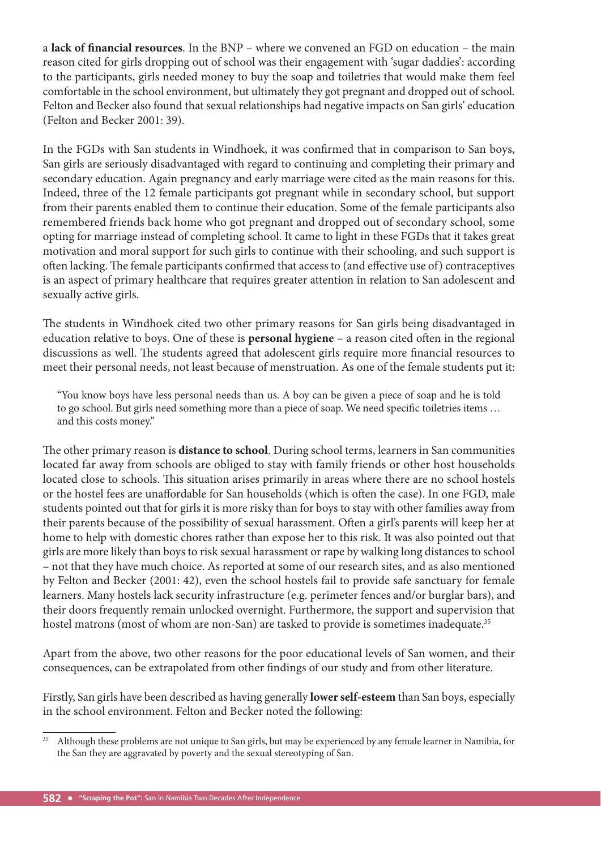a **lack of financial resources**. In the BNP – where we convened an FGD on education – the main reason cited for girls dropping out of school was their engagement with 'sugar daddies': according to the participants, girls needed money to buy the soap and toiletries that would make them feel comfortable in the school environment, but ultimately they got pregnant and dropped out of school. Felton and Becker also found that sexual relationships had negative impacts on San girls' education (Felton and Becker 2001: 39).

In the FGDs with San students in Windhoek, it was confirmed that in comparison to San boys, San girls are seriously disadvantaged with regard to continuing and completing their primary and secondary education. Again pregnancy and early marriage were cited as the main reasons for this. Indeed, three of the 12 female participants got pregnant while in secondary school, but support from their parents enabled them to continue their education. Some of the female participants also remembered friends back home who got pregnant and dropped out of secondary school, some opting for marriage instead of completing school. It came to light in these FGDs that it takes great motivation and moral support for such girls to continue with their schooling, and such support is often lacking. The female participants confirmed that access to (and effective use of) contraceptives is an aspect of primary healthcare that requires greater attention in relation to San adolescent and sexually active girls.

The students in Windhoek cited two other primary reasons for San girls being disadvantaged in education relative to boys. One of these is **personal hygiene** – a reason cited often in the regional discussions as well. The students agreed that adolescent girls require more financial resources to meet their personal needs, not least because of menstruation. As one of the female students put it:

"You know boys have less personal needs than us. A boy can be given a piece of soap and he is told to go school. But girls need something more than a piece of soap. We need specific toiletries items ... and this costs money."

The other primary reason is **distance to school**. During school terms, learners in San communities located far away from schools are obliged to stay with family friends or other host households located close to schools. This situation arises primarily in areas where there are no school hostels or the hostel fees are unaffordable for San households (which is often the case). In one FGD, male students pointed out that for girls it is more risky than for boys to stay with other families away from their parents because of the possibility of sexual harassment. Often a girl's parents will keep her at home to help with domestic chores rather than expose her to this risk. It was also pointed out that girls are more likely than boys to risk sexual harassment or rape by walking long distances to school – not that they have much choice. As reported at some of our research sites, and as also mentioned by Felton and Becker (2001: 42), even the school hostels fail to provide safe sanctuary for female learners. Many hostels lack security infrastructure (e.g. perimeter fences and/or burglar bars), and their doors frequently remain unlocked overnight. Furthermore, the support and supervision that hostel matrons (most of whom are non-San) are tasked to provide is sometimes inadequate.<sup>35</sup>

Apart from the above, two other reasons for the poor educational levels of San women, and their consequences, can be extrapolated from other findings of our study and from other literature.

Firstly, San girls have been described as having generally **lower self-esteem** than San boys, especially in the school environment. Felton and Becker noted the following:

<sup>&</sup>lt;sup>35</sup> Although these problems are not unique to San girls, but may be experienced by any female learner in Namibia, for the San they are aggravated by poverty and the sexual stereotyping of San.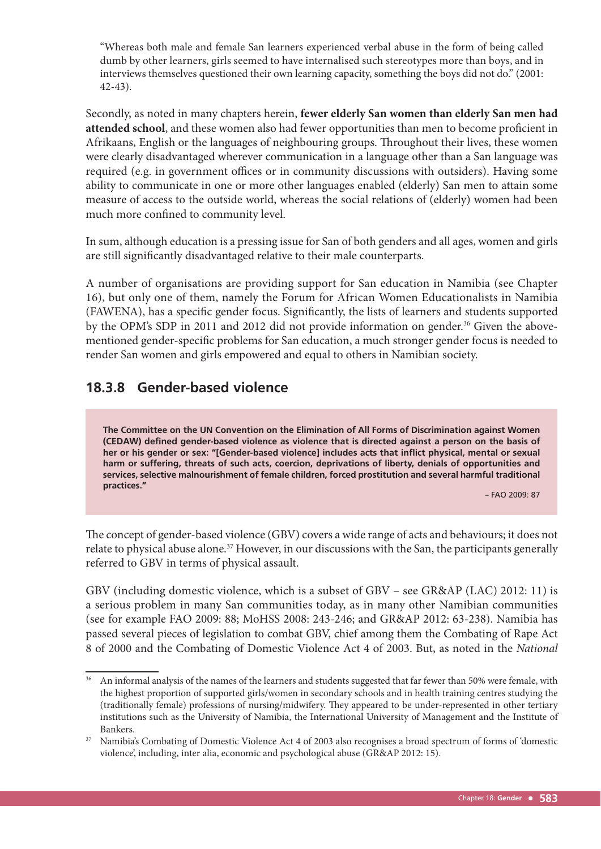"Whereas both male and female San learners experienced verbal abuse in the form of being called dumb by other learners, girls seemed to have internalised such stereotypes more than boys, and in interviews themselves questioned their own learning capacity, something the boys did not do." (2001: 42-43).

Secondly, as noted in many chapters herein, **fewer elderly San women than elderly San men had**  attended school, and these women also had fewer opportunities than men to become proficient in Afrikaans, English or the languages of neighbouring groups. Throughout their lives, these women were clearly disadvantaged wherever communication in a language other than a San language was required (e.g. in government offices or in community discussions with outsiders). Having some ability to communicate in one or more other languages enabled (elderly) San men to attain some measure of access to the outside world, whereas the social relations of (elderly) women had been much more confined to community level.

In sum, although education is a pressing issue for San of both genders and all ages, women and girls are still significantly disadvantaged relative to their male counterparts.

A number of organisations are providing support for San education in Namibia (see Chapter 16), but only one of them, namely the Forum for African Women Educationalists in Namibia (FAWENA), has a specific gender focus. Significantly, the lists of learners and students supported by the OPM's SDP in 2011 and 2012 did not provide information on gender.<sup>36</sup> Given the abovementioned gender-specific problems for San education, a much stronger gender focus is needed to render San women and girls empowered and equal to others in Namibian society.

# **18.3.8 Gender-based violence**

**The Committee on the UN Convention on the Elimination of All Forms of Discrimination against Women (CEDAW) defined gender-based violence as violence that is directed against a person on the basis of her or his gender or sex: "[Gender-based violence] includes acts that inflict physical, mental or sexual harm or suffering, threats of such acts, coercion, deprivations of liberty, denials of opportunities and services, selective malnourishment of female children, forced prostitution and several harmful traditional practices."**

– FAO 2009: 87

The concept of gender-based violence (GBV) covers a wide range of acts and behaviours; it does not relate to physical abuse alone.<sup>37</sup> However, in our discussions with the San, the participants generally referred to GBV in terms of physical assault.

GBV (including domestic violence, which is a subset of GBV – see GR&AP (LAC) 2012: 11) is a serious problem in many San communities today, as in many other Namibian communities (see for example FAO 2009: 88; MoHSS 2008: 243-246; and GR&AP 2012: 63-238). Namibia has passed several pieces of legislation to combat GBV, chief among them the Combating of Rape Act 8 of 2000 and the Combating of Domestic Violence Act 4 of 2003. But, as noted in the *National* 

<sup>&</sup>lt;sup>36</sup> An informal analysis of the names of the learners and students suggested that far fewer than 50% were female, with the highest proportion of supported girls/women in secondary schools and in health training centres studying the (traditionally female) professions of nursing/midwifery. They appeared to be under-represented in other tertiary institutions such as the University of Namibia, the International University of Management and the Institute of Bankers.<br><sup>37</sup> Namibia's Combating of Domestic Violence Act 4 of 2003 also recognises a broad spectrum of forms of 'domestic

violence', including, inter alia, economic and psychological abuse (GR&AP 2012: 15).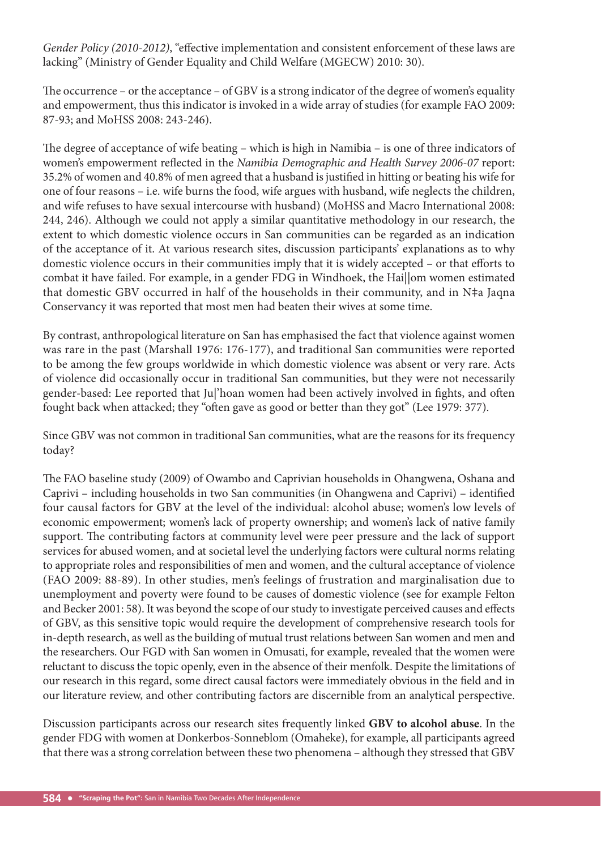*Gender Policy* (2010-2012), "effective implementation and consistent enforcement of these laws are lacking" (Ministry of Gender Equality and Child Welfare (MGECW) 2010: 30).

The occurrence – or the acceptance – of GBV is a strong indicator of the degree of women's equality and empowerment, thus this indicator is invoked in a wide array of studies (for example FAO 2009: 87-93; and MoHSS 2008: 243-246).

The degree of acceptance of wife beating – which is high in Namibia – is one of three indicators of women's empowerment reflected in the *Namibia Demographic and Health Survey 2006-07* report: 35.2% of women and 40.8% of men agreed that a husband is justified in hitting or beating his wife for one of four reasons – i.e. wife burns the food, wife argues with husband, wife neglects the children, and wife refuses to have sexual intercourse with husband) (MoHSS and Macro International 2008: 244, 246). Although we could not apply a similar quantitative methodology in our research, the extent to which domestic violence occurs in San communities can be regarded as an indication of the acceptance of it. At various research sites, discussion participants' explanations as to why domestic violence occurs in their communities imply that it is widely accepted - or that efforts to combat it have failed. For example, in a gender FDG in Windhoek, the Hai||om women estimated that domestic GBV occurred in half of the households in their community, and in N‡a Jaqna Conservancy it was reported that most men had beaten their wives at some time.

By contrast, anthropological literature on San has emphasised the fact that violence against women was rare in the past (Marshall 1976: 176-177), and traditional San communities were reported to be among the few groups worldwide in which domestic violence was absent or very rare. Acts of violence did occasionally occur in traditional San communities, but they were not necessarily gender-based: Lee reported that Ju|'hoan women had been actively involved in fights, and often fought back when attacked; they "often gave as good or better than they got" (Lee 1979: 377).

Since GBV was not common in traditional San communities, what are the reasons for its frequency today?

The FAO baseline study (2009) of Owambo and Caprivian households in Ohangwena, Oshana and Caprivi – including households in two San communities (in Ohangwena and Caprivi) – identified four causal factors for GBV at the level of the individual: alcohol abuse; women's low levels of economic empowerment; women's lack of property ownership; and women's lack of native family support. The contributing factors at community level were peer pressure and the lack of support services for abused women, and at societal level the underlying factors were cultural norms relating to appropriate roles and responsibilities of men and women, and the cultural acceptance of violence (FAO 2009: 88-89). In other studies, men's feelings of frustration and marginalisation due to unemployment and poverty were found to be causes of domestic violence (see for example Felton and Becker 2001: 58). It was beyond the scope of our study to investigate perceived causes and effects of GBV, as this sensitive topic would require the development of comprehensive research tools for in-depth research, as well as the building of mutual trust relations between San women and men and the researchers. Our FGD with San women in Omusati, for example, revealed that the women were reluctant to discuss the topic openly, even in the absence of their menfolk. Despite the limitations of our research in this regard, some direct causal factors were immediately obvious in the field and in our literature review, and other contributing factors are discernible from an analytical perspective.

Discussion participants across our research sites frequently linked **GBV to alcohol abuse**. In the gender FDG with women at Donkerbos-Sonneblom (Omaheke), for example, all participants agreed that there was a strong correlation between these two phenomena – although they stressed that GBV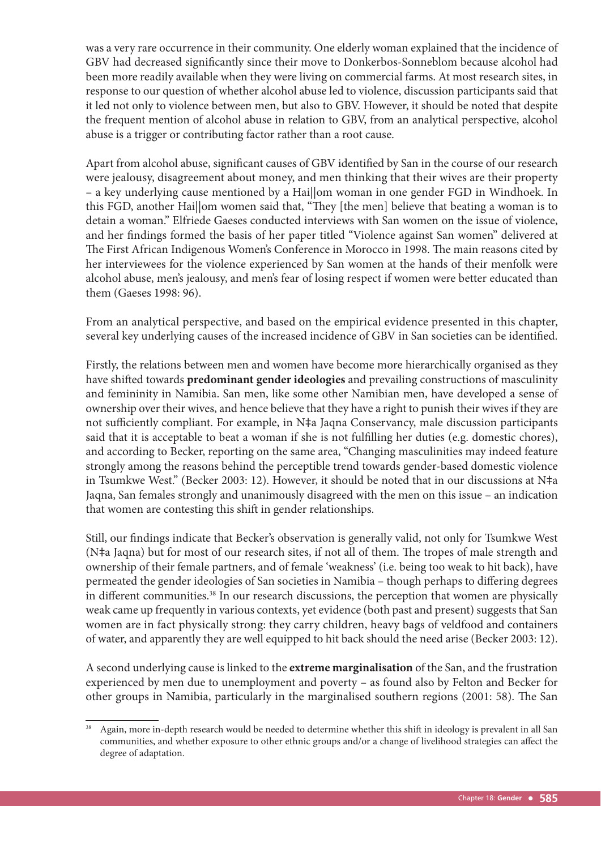was a very rare occurrence in their community. One elderly woman explained that the incidence of GBV had decreased significantly since their move to Donkerbos-Sonneblom because alcohol had been more readily available when they were living on commercial farms. At most research sites, in response to our question of whether alcohol abuse led to violence, discussion participants said that it led not only to violence between men, but also to GBV. However, it should be noted that despite the frequent mention of alcohol abuse in relation to GBV, from an analytical perspective, alcohol abuse is a trigger or contributing factor rather than a root cause.

Apart from alcohol abuse, significant causes of GBV identified by San in the course of our research were jealousy, disagreement about money, and men thinking that their wives are their property – a key underlying cause mentioned by a Hai||om woman in one gender FGD in Windhoek. In this FGD, another Haillom women said that, "They [the men] believe that beating a woman is to detain a woman." Elfriede Gaeses conducted interviews with San women on the issue of violence, and her findings formed the basis of her paper titled "Violence against San women" delivered at The First African Indigenous Women's Conference in Morocco in 1998. The main reasons cited by her interviewees for the violence experienced by San women at the hands of their menfolk were alcohol abuse, men's jealousy, and men's fear of losing respect if women were better educated than them (Gaeses 1998: 96).

From an analytical perspective, and based on the empirical evidence presented in this chapter, several key underlying causes of the increased incidence of GBV in San societies can be identified.

Firstly, the relations between men and women have become more hierarchically organised as they have shifted towards **predominant gender ideologies** and prevailing constructions of masculinity and femininity in Namibia. San men, like some other Namibian men, have developed a sense of ownership over their wives, and hence believe that they have a right to punish their wives if they are not sufficiently compliant. For example, in N‡a Jaqna Conservancy, male discussion participants said that it is acceptable to beat a woman if she is not fulfilling her duties (e.g. domestic chores), and according to Becker, reporting on the same area, "Changing masculinities may indeed feature strongly among the reasons behind the perceptible trend towards gender-based domestic violence in Tsumkwe West." (Becker 2003: 12). However, it should be noted that in our discussions at N‡a Jaqna, San females strongly and unanimously disagreed with the men on this issue – an indication that women are contesting this shift in gender relationships.

Still, our findings indicate that Becker's observation is generally valid, not only for Tsumkwe West (N‡a Jaqna) but for most of our research sites, if not all of them. The tropes of male strength and ownership of their female partners, and of female 'weakness' (i.e. being too weak to hit back), have permeated the gender ideologies of San societies in Namibia - though perhaps to differing degrees in different communities.<sup>38</sup> In our research discussions, the perception that women are physically weak came up frequently in various contexts, yet evidence (both past and present) suggests that San women are in fact physically strong: they carry children, heavy bags of veldfood and containers of water, and apparently they are well equipped to hit back should the need arise (Becker 2003: 12).

A second underlying cause is linked to the **extreme marginalisation** of the San, and the frustration experienced by men due to unemployment and poverty – as found also by Felton and Becker for other groups in Namibia, particularly in the marginalised southern regions (2001: 58). The San

Again, more in-depth research would be needed to determine whether this shift in ideology is prevalent in all San communities, and whether exposure to other ethnic groups and/or a change of livelihood strategies can affect the degree of adaptation.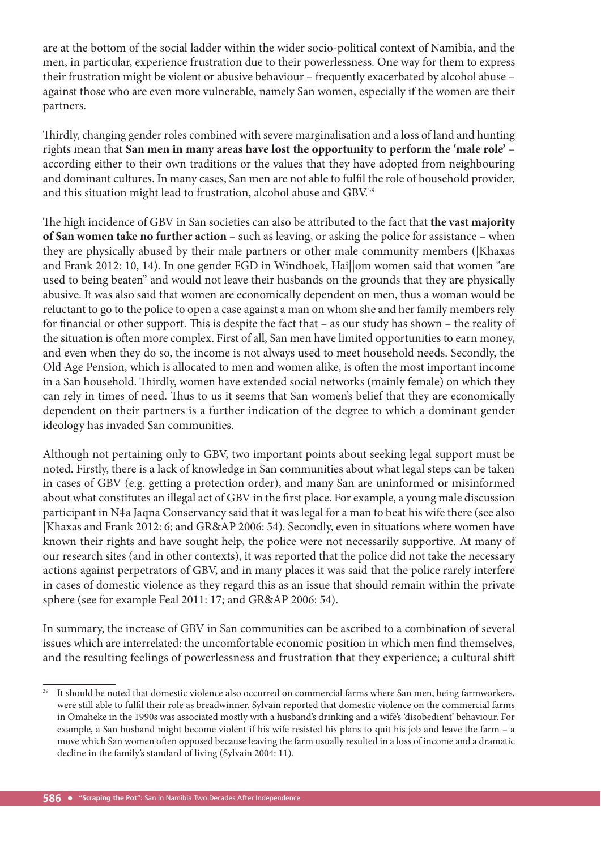are at the bottom of the social ladder within the wider socio-political context of Namibia, and the men, in particular, experience frustration due to their powerlessness. One way for them to express their frustration might be violent or abusive behaviour – frequently exacerbated by alcohol abuse – against those who are even more vulnerable, namely San women, especially if the women are their partners.

Thirdly, changing gender roles combined with severe marginalisation and a loss of land and hunting rights mean that **San men in many areas have lost the opportunity to perform the 'male role'** – according either to their own traditions or the values that they have adopted from neighbouring and dominant cultures. In many cases, San men are not able to fulfil the role of household provider, and this situation might lead to frustration, alcohol abuse and GBV.39

The high incidence of GBV in San societies can also be attributed to the fact that **the vast majority of San women take no further action** – such as leaving, or asking the police for assistance – when they are physically abused by their male partners or other male community members (|Khaxas and Frank 2012: 10, 14). In one gender FGD in Windhoek, Hai||om women said that women "are used to being beaten" and would not leave their husbands on the grounds that they are physically abusive. It was also said that women are economically dependent on men, thus a woman would be reluctant to go to the police to open a case against a man on whom she and her family members rely for financial or other support. This is despite the fact that – as our study has shown – the reality of the situation is often more complex. First of all, San men have limited opportunities to earn money, and even when they do so, the income is not always used to meet household needs. Secondly, the Old Age Pension, which is allocated to men and women alike, is often the most important income in a San household. Thirdly, women have extended social networks (mainly female) on which they can rely in times of need. Thus to us it seems that San women's belief that they are economically dependent on their partners is a further indication of the degree to which a dominant gender ideology has invaded San communities.

Although not pertaining only to GBV, two important points about seeking legal support must be noted. Firstly, there is a lack of knowledge in San communities about what legal steps can be taken in cases of GBV (e.g. getting a protection order), and many San are uninformed or misinformed about what constitutes an illegal act of GBV in the first place. For example, a young male discussion participant in N‡a Jaqna Conservancy said that it was legal for a man to beat his wife there (see also |Khaxas and Frank 2012: 6; and GR&AP 2006: 54). Secondly, even in situations where women have known their rights and have sought help, the police were not necessarily supportive. At many of our research sites (and in other contexts), it was reported that the police did not take the necessary actions against perpetrators of GBV, and in many places it was said that the police rarely interfere in cases of domestic violence as they regard this as an issue that should remain within the private sphere (see for example Feal 2011: 17; and GR&AP 2006: 54).

In summary, the increase of GBV in San communities can be ascribed to a combination of several issues which are interrelated: the uncomfortable economic position in which men find themselves, and the resulting feelings of powerlessness and frustration that they experience; a cultural shift

It should be noted that domestic violence also occurred on commercial farms where San men, being farmworkers, were still able to fulfi l their role as breadwinner. Sylvain reported that domestic violence on the commercial farms in Omaheke in the 1990s was associated mostly with a husband's drinking and a wife's 'disobedient' behaviour. For example, a San husband might become violent if his wife resisted his plans to quit his job and leave the farm – a move which San women often opposed because leaving the farm usually resulted in a loss of income and a dramatic decline in the family's standard of living (Sylvain 2004: 11).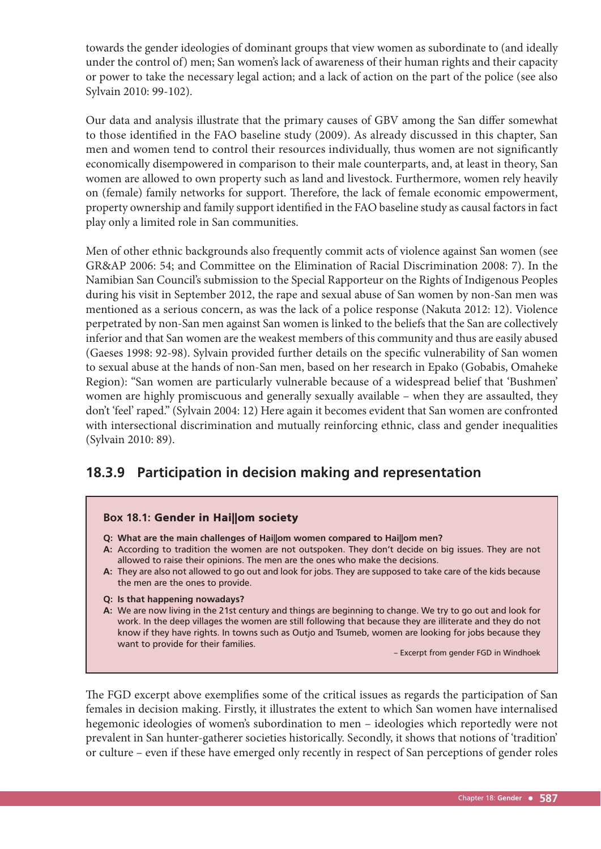towards the gender ideologies of dominant groups that view women as subordinate to (and ideally under the control of) men; San women's lack of awareness of their human rights and their capacity or power to take the necessary legal action; and a lack of action on the part of the police (see also Sylvain 2010: 99-102).

Our data and analysis illustrate that the primary causes of GBV among the San differ somewhat to those identified in the FAO baseline study (2009). As already discussed in this chapter, San men and women tend to control their resources individually, thus women are not significantly economically disempowered in comparison to their male counterparts, and, at least in theory, San women are allowed to own property such as land and livestock. Furthermore, women rely heavily on (female) family networks for support. Therefore, the lack of female economic empowerment, property ownership and family support identified in the FAO baseline study as causal factors in fact play only a limited role in San communities.

Men of other ethnic backgrounds also frequently commit acts of violence against San women (see GR&AP 2006: 54; and Committee on the Elimination of Racial Discrimination 2008: 7). In the Namibian San Council's submission to the Special Rapporteur on the Rights of Indigenous Peoples during his visit in September 2012, the rape and sexual abuse of San women by non-San men was mentioned as a serious concern, as was the lack of a police response (Nakuta 2012: 12). Violence perpetrated by non-San men against San women is linked to the beliefs that the San are collectively inferior and that San women are the weakest members of this community and thus are easily abused (Gaeses 1998: 92-98). Sylvain provided further details on the specific vulnerability of San women to sexual abuse at the hands of non-San men, based on her research in Epako (Gobabis, Omaheke Region): "San women are particularly vulnerable because of a widespread belief that 'Bushmen' women are highly promiscuous and generally sexually available – when they are assaulted, they don't 'feel' raped." (Sylvain 2004: 12) Here again it becomes evident that San women are confronted with intersectional discrimination and mutually reinforcing ethnic, class and gender inequalities (Sylvain 2010: 89).

## **18.3.9 Participation in decision making and representation**

#### **Box 18.1:** Gender in Hai||om society

- **Q: What are the main challenges of Hai||om women compared to Hai||om men?**
- **A:** According to tradition the women are not outspoken. They don't decide on big issues. They are not allowed to raise their opinions. The men are the ones who make the decisions.
- **A:** They are also not allowed to go out and look for jobs. They are supposed to take care of the kids because the men are the ones to provide.
- **Q: Is that happening nowadays?**
- **A:** We are now living in the 21st century and things are beginning to change. We try to go out and look for work. In the deep villages the women are still following that because they are illiterate and they do not know if they have rights. In towns such as Outjo and Tsumeb, women are looking for jobs because they want to provide for their families.

– Excerpt from gender FGD in Windhoek

The FGD excerpt above exemplifies some of the critical issues as regards the participation of San females in decision making. Firstly, it illustrates the extent to which San women have internalised hegemonic ideologies of women's subordination to men – ideologies which reportedly were not prevalent in San hunter-gatherer societies historically. Secondly, it shows that notions of 'tradition' or culture – even if these have emerged only recently in respect of San perceptions of gender roles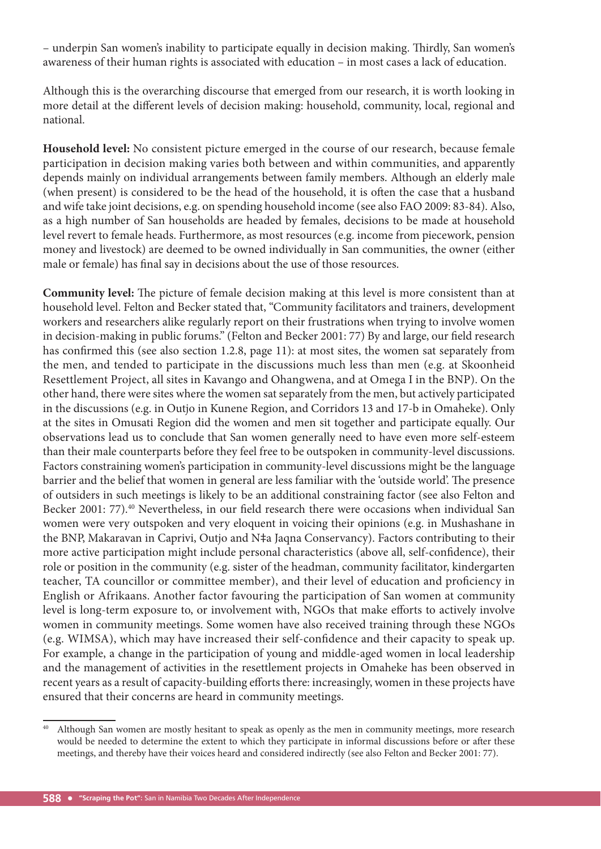– underpin San women's inability to participate equally in decision making. Thirdly, San women's awareness of their human rights is associated with education – in most cases a lack of education.

Although this is the overarching discourse that emerged from our research, it is worth looking in more detail at the different levels of decision making: household, community, local, regional and national.

**Household level:** No consistent picture emerged in the course of our research, because female participation in decision making varies both between and within communities, and apparently depends mainly on individual arrangements between family members. Although an elderly male (when present) is considered to be the head of the household, it is often the case that a husband and wife take joint decisions, e.g. on spending household income (see also FAO 2009: 83-84). Also, as a high number of San households are headed by females, decisions to be made at household level revert to female heads. Furthermore, as most resources (e.g. income from piecework, pension money and livestock) are deemed to be owned individually in San communities, the owner (either male or female) has final say in decisions about the use of those resources.

**Community level:** The picture of female decision making at this level is more consistent than at household level. Felton and Becker stated that, "Community facilitators and trainers, development workers and researchers alike regularly report on their frustrations when trying to involve women in decision-making in public forums." (Felton and Becker 2001: 77) By and large, our field research has confirmed this (see also section 1.2.8, page 11): at most sites, the women sat separately from the men, and tended to participate in the discussions much less than men (e.g. at Skoonheid Resettlement Project, all sites in Kavango and Ohangwena, and at Omega I in the BNP). On the other hand, there were sites where the women sat separately from the men, but actively participated in the discussions (e.g. in Outjo in Kunene Region, and Corridors 13 and 17-b in Omaheke). Only at the sites in Omusati Region did the women and men sit together and participate equally. Our observations lead us to conclude that San women generally need to have even more self-esteem than their male counterparts before they feel free to be outspoken in community-level discussions. Factors constraining women's participation in community-level discussions might be the language barrier and the belief that women in general are less familiar with the 'outside world'. The presence of outsiders in such meetings is likely to be an additional constraining factor (see also Felton and Becker 2001: 77).<sup>40</sup> Nevertheless, in our field research there were occasions when individual San women were very outspoken and very eloquent in voicing their opinions (e.g. in Mushashane in the BNP, Makaravan in Caprivi, Outjo and N‡a Jaqna Conservancy). Factors contributing to their more active participation might include personal characteristics (above all, self-confidence), their role or position in the community (e.g. sister of the headman, community facilitator, kindergarten teacher, TA councillor or committee member), and their level of education and proficiency in English or Afrikaans. Another factor favouring the participation of San women at community level is long-term exposure to, or involvement with, NGOs that make efforts to actively involve women in community meetings. Some women have also received training through these NGOs (e.g. WIMSA), which may have increased their self-confidence and their capacity to speak up. For example, a change in the participation of young and middle-aged women in local leadership and the management of activities in the resettlement projects in Omaheke has been observed in recent years as a result of capacity-building efforts there: increasingly, women in these projects have ensured that their concerns are heard in community meetings.

Although San women are mostly hesitant to speak as openly as the men in community meetings, more research would be needed to determine the extent to which they participate in informal discussions before or after these meetings, and thereby have their voices heard and considered indirectly (see also Felton and Becker 2001: 77).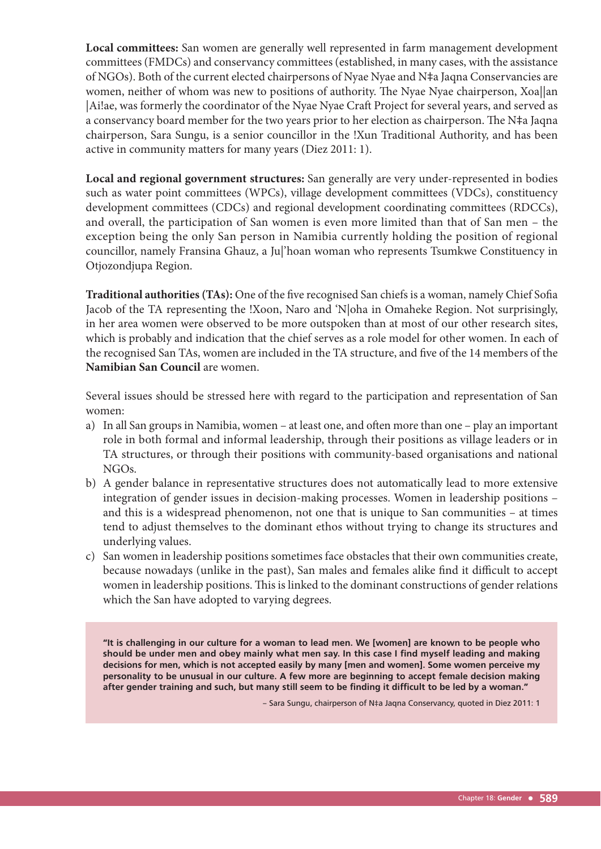**Local committees:** San women are generally well represented in farm management development committees (FMDCs) and conservancy committees (established, in many cases, with the assistance of NGOs). Both of the current elected chairpersons of Nyae Nyae and N‡a Jaqna Conservancies are women, neither of whom was new to positions of authority. The Nyae Nyae chairperson, Xoa||an |Ai!ae, was formerly the coordinator of the Nyae Nyae Craft Project for several years, and served as a conservancy board member for the two years prior to her election as chairperson. The N‡a Jaqna chairperson, Sara Sungu, is a senior councillor in the !Xun Traditional Authority, and has been active in community matters for many years (Diez 2011: 1).

**Local and regional government structures:** San generally are very under-represented in bodies such as water point committees (WPCs), village development committees (VDCs), constituency development committees (CDCs) and regional development coordinating committees (RDCCs), and overall, the participation of San women is even more limited than that of San men – the exception being the only San person in Namibia currently holding the position of regional councillor, namely Fransina Ghauz, a Ju|'hoan woman who represents Tsumkwe Constituency in Otjozondjupa Region.

Traditional authorities (TAs): One of the five recognised San chiefs is a woman, namely Chief Sofia Jacob of the TA representing the !Xoon, Naro and 'N|oha in Omaheke Region. Not surprisingly, in her area women were observed to be more outspoken than at most of our other research sites, which is probably and indication that the chief serves as a role model for other women. In each of the recognised San TAs, women are included in the TA structure, and five of the 14 members of the **Namibian San Council** are women.

Several issues should be stressed here with regard to the participation and representation of San women:

- a) In all San groups in Namibia, women at least one, and often more than one play an important role in both formal and informal leadership, through their positions as village leaders or in TA structures, or through their positions with community-based organisations and national NGOs.
- b) A gender balance in representative structures does not automatically lead to more extensive integration of gender issues in decision-making processes. Women in leadership positions – and this is a widespread phenomenon, not one that is unique to San communities – at times tend to adjust themselves to the dominant ethos without trying to change its structures and underlying values.
- c) San women in leadership positions sometimes face obstacles that their own communities create, because nowadays (unlike in the past), San males and females alike find it difficult to accept women in leadership positions. This is linked to the dominant constructions of gender relations which the San have adopted to varying degrees.

**"It is challenging in our culture for a woman to lead men. We [women] are known to be people who should be under men and obey mainly what men say. In this case I find myself leading and making decisions for men, which is not accepted easily by many [men and women]. Some women perceive my personality to be unusual in our culture. A few more are beginning to accept female decision making after gender training and such, but many still seem to be finding it difficult to be led by a woman."** 

– Sara Sungu, chairperson of N‡a Jaqna Conservancy, quoted in Diez 2011: 1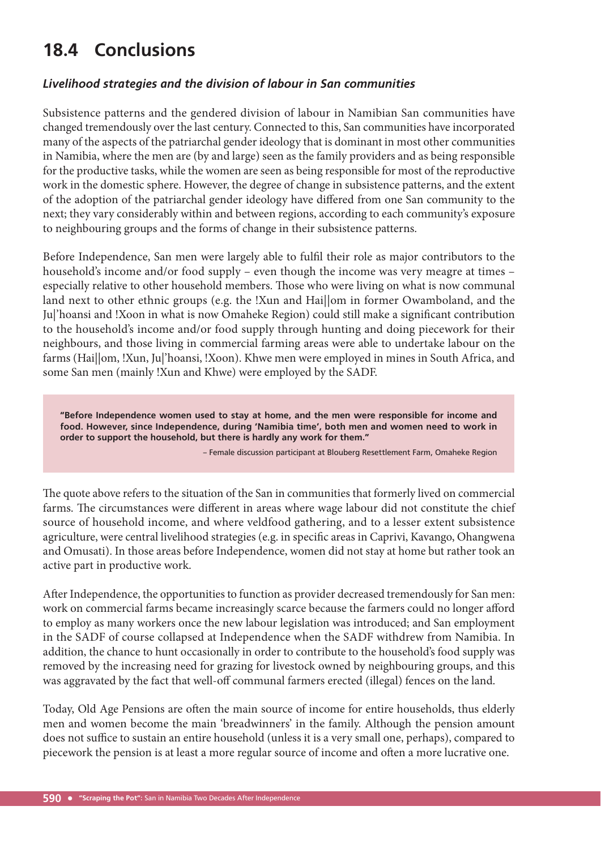# **18.4 Conclusions**

#### *Livelihood strategies and the division of labour in San communities*

Subsistence patterns and the gendered division of labour in Namibian San communities have changed tremendously over the last century. Connected to this, San communities have incorporated many of the aspects of the patriarchal gender ideology that is dominant in most other communities in Namibia, where the men are (by and large) seen as the family providers and as being responsible for the productive tasks, while the women are seen as being responsible for most of the reproductive work in the domestic sphere. However, the degree of change in subsistence patterns, and the extent of the adoption of the patriarchal gender ideology have differed from one San community to the next; they vary considerably within and between regions, according to each community's exposure to neighbouring groups and the forms of change in their subsistence patterns.

Before Independence, San men were largely able to fulfil their role as major contributors to the household's income and/or food supply – even though the income was very meagre at times – especially relative to other household members. Those who were living on what is now communal land next to other ethnic groups (e.g. the !Xun and Hai||om in former Owamboland, and the Ju|'hoansi and !Xoon in what is now Omaheke Region) could still make a significant contribution to the household's income and/or food supply through hunting and doing piecework for their neighbours, and those living in commercial farming areas were able to undertake labour on the farms (Hai||om, !Xun, Ju|'hoansi, !Xoon). Khwe men were employed in mines in South Africa, and some San men (mainly !Xun and Khwe) were employed by the SADF.

**"Before Independence women used to stay at home, and the men were responsible for income and food. However, since Independence, during 'Namibia time', both men and women need to work in order to support the household, but there is hardly any work for them."**

– Female discussion participant at Blouberg Resettlement Farm, Omaheke Region

The quote above refers to the situation of the San in communities that formerly lived on commercial farms. The circumstances were different in areas where wage labour did not constitute the chief source of household income, and where veldfood gathering, and to a lesser extent subsistence agriculture, were central livelihood strategies (e.g. in specific areas in Caprivi, Kavango, Ohangwena and Omusati). In those areas before Independence, women did not stay at home but rather took an active part in productive work.

After Independence, the opportunities to function as provider decreased tremendously for San men: work on commercial farms became increasingly scarce because the farmers could no longer afford to employ as many workers once the new labour legislation was introduced; and San employment in the SADF of course collapsed at Independence when the SADF withdrew from Namibia. In addition, the chance to hunt occasionally in order to contribute to the household's food supply was removed by the increasing need for grazing for livestock owned by neighbouring groups, and this was aggravated by the fact that well-off communal farmers erected (illegal) fences on the land.

Today, Old Age Pensions are often the main source of income for entire households, thus elderly men and women become the main 'breadwinners' in the family. Although the pension amount does not suffice to sustain an entire household (unless it is a very small one, perhaps), compared to piecework the pension is at least a more regular source of income and often a more lucrative one.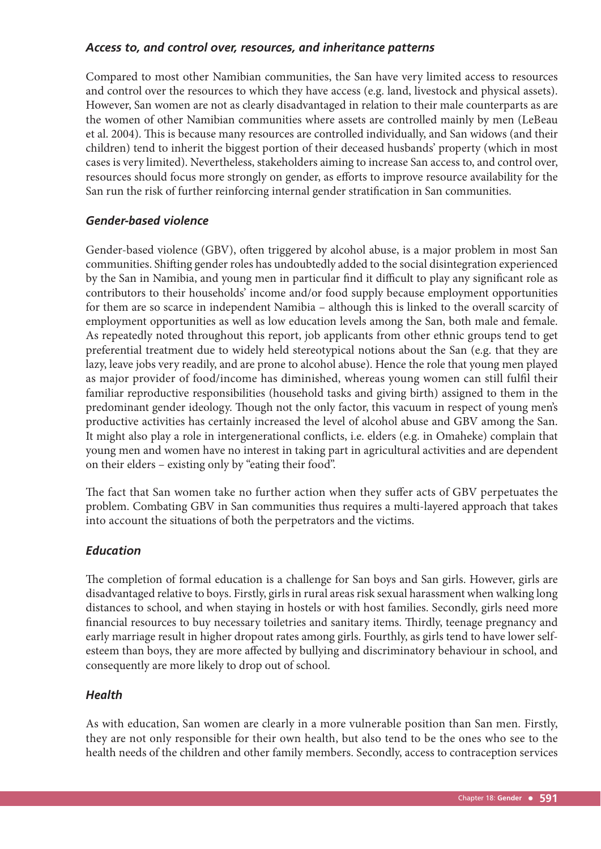#### *Access to, and control over, resources, and inheritance patterns*

Compared to most other Namibian communities, the San have very limited access to resources and control over the resources to which they have access (e.g. land, livestock and physical assets). However, San women are not as clearly disadvantaged in relation to their male counterparts as are the women of other Namibian communities where assets are controlled mainly by men (LeBeau et al. 2004). This is because many resources are controlled individually, and San widows (and their children) tend to inherit the biggest portion of their deceased husbands' property (which in most cases is very limited). Nevertheless, stakeholders aiming to increase San access to, and control over, resources should focus more strongly on gender, as efforts to improve resource availability for the San run the risk of further reinforcing internal gender stratification in San communities.

#### *Gender-based violence*

Gender-based violence (GBV), often triggered by alcohol abuse, is a major problem in most San communities. Shifting gender roles has undoubtedly added to the social disintegration experienced by the San in Namibia, and young men in particular find it difficult to play any significant role as contributors to their households' income and/or food supply because employment opportunities for them are so scarce in independent Namibia – although this is linked to the overall scarcity of employment opportunities as well as low education levels among the San, both male and female. As repeatedly noted throughout this report, job applicants from other ethnic groups tend to get preferential treatment due to widely held stereotypical notions about the San (e.g. that they are lazy, leave jobs very readily, and are prone to alcohol abuse). Hence the role that young men played as major provider of food/income has diminished, whereas young women can still fulfil their familiar reproductive responsibilities (household tasks and giving birth) assigned to them in the predominant gender ideology. Though not the only factor, this vacuum in respect of young men's productive activities has certainly increased the level of alcohol abuse and GBV among the San. It might also play a role in intergenerational conflicts, i.e. elders (e.g. in Omaheke) complain that young men and women have no interest in taking part in agricultural activities and are dependent on their elders – existing only by "eating their food".

The fact that San women take no further action when they suffer acts of GBV perpetuates the problem. Combating GBV in San communities thus requires a multi-layered approach that takes into account the situations of both the perpetrators and the victims.

#### *Education*

The completion of formal education is a challenge for San boys and San girls. However, girls are disadvantaged relative to boys. Firstly, girls in rural areas risk sexual harassment when walking long distances to school, and when staying in hostels or with host families. Secondly, girls need more financial resources to buy necessary toiletries and sanitary items. Thirdly, teenage pregnancy and early marriage result in higher dropout rates among girls. Fourthly, as girls tend to have lower selfesteem than boys, they are more affected by bullying and discriminatory behaviour in school, and consequently are more likely to drop out of school.

#### *Health*

As with education, San women are clearly in a more vulnerable position than San men. Firstly, they are not only responsible for their own health, but also tend to be the ones who see to the health needs of the children and other family members. Secondly, access to contraception services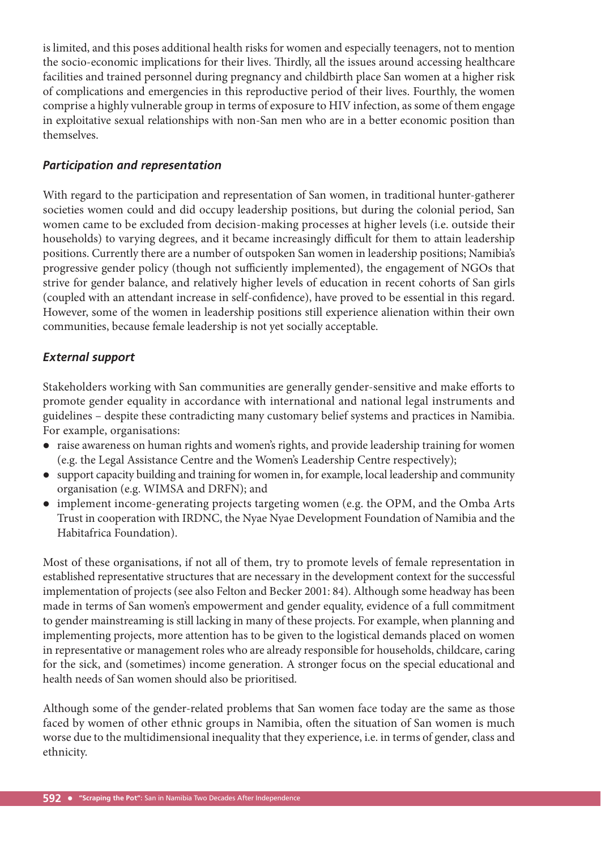is limited, and this poses additional health risks for women and especially teenagers, not to mention the socio-economic implications for their lives. Thirdly, all the issues around accessing healthcare facilities and trained personnel during pregnancy and childbirth place San women at a higher risk of complications and emergencies in this reproductive period of their lives. Fourthly, the women comprise a highly vulnerable group in terms of exposure to HIV infection, as some of them engage in exploitative sexual relationships with non-San men who are in a better economic position than themselves.

#### *Participation and representation*

With regard to the participation and representation of San women, in traditional hunter-gatherer societies women could and did occupy leadership positions, but during the colonial period, San women came to be excluded from decision-making processes at higher levels (i.e. outside their households) to varying degrees, and it became increasingly difficult for them to attain leadership positions. Currently there are a number of outspoken San women in leadership positions; Namibia's progressive gender policy (though not sufficiently implemented), the engagement of NGOs that strive for gender balance, and relatively higher levels of education in recent cohorts of San girls (coupled with an attendant increase in self-confidence), have proved to be essential in this regard. However, some of the women in leadership positions still experience alienation within their own communities, because female leadership is not yet socially acceptable.

#### *External support*

Stakeholders working with San communities are generally gender-sensitive and make efforts to promote gender equality in accordance with international and national legal instruments and guidelines – despite these contradicting many customary belief systems and practices in Namibia. For example, organisations:

- raise awareness on human rights and women's rights, and provide leadership training for women (e.g. the Legal Assistance Centre and the Women's Leadership Centre respectively);
- support capacity building and training for women in, for example, local leadership and community organisation (e.g. WIMSA and DRFN); and
- implement income-generating projects targeting women (e.g. the OPM, and the Omba Arts Trust in cooperation with IRDNC, the Nyae Nyae Development Foundation of Namibia and the Habitafrica Foundation).

Most of these organisations, if not all of them, try to promote levels of female representation in established representative structures that are necessary in the development context for the successful implementation of projects (see also Felton and Becker 2001: 84). Although some headway has been made in terms of San women's empowerment and gender equality, evidence of a full commitment to gender mainstreaming is still lacking in many of these projects. For example, when planning and implementing projects, more attention has to be given to the logistical demands placed on women in representative or management roles who are already responsible for households, childcare, caring for the sick, and (sometimes) income generation. A stronger focus on the special educational and health needs of San women should also be prioritised.

Although some of the gender-related problems that San women face today are the same as those faced by women of other ethnic groups in Namibia, often the situation of San women is much worse due to the multidimensional inequality that they experience, i.e. in terms of gender, class and ethnicity.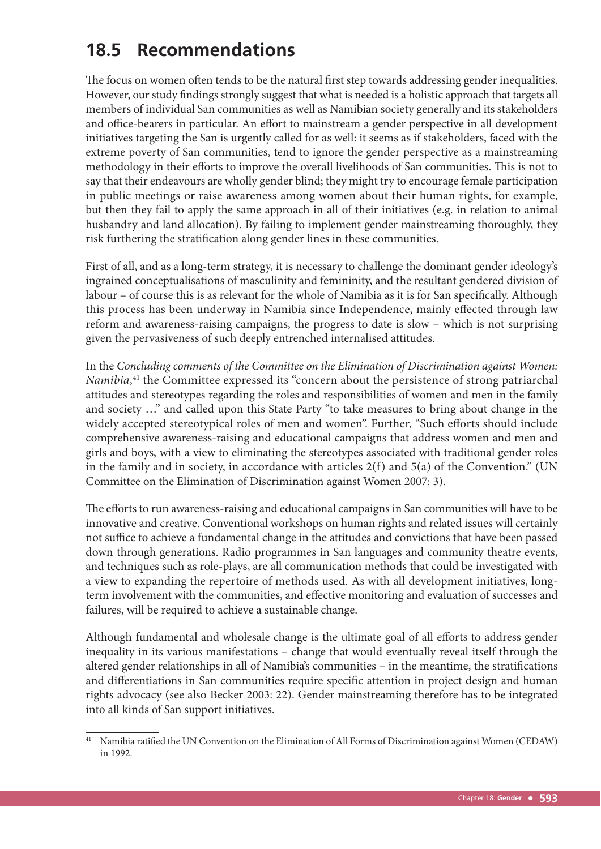# **18.5 Recommendations**

The focus on women often tends to be the natural first step towards addressing gender inequalities. However, our study findings strongly suggest that what is needed is a holistic approach that targets all members of individual San communities as well as Namibian society generally and its stakeholders and office-bearers in particular. An effort to mainstream a gender perspective in all development initiatives targeting the San is urgently called for as well: it seems as if stakeholders, faced with the extreme poverty of San communities, tend to ignore the gender perspective as a mainstreaming methodology in their efforts to improve the overall livelihoods of San communities. This is not to say that their endeavours are wholly gender blind; they might try to encourage female participation in public meetings or raise awareness among women about their human rights, for example, but then they fail to apply the same approach in all of their initiatives (e.g. in relation to animal husbandry and land allocation). By failing to implement gender mainstreaming thoroughly, they risk furthering the stratification along gender lines in these communities.

First of all, and as a long-term strategy, it is necessary to challenge the dominant gender ideology's ingrained conceptualisations of masculinity and femininity, and the resultant gendered division of labour – of course this is as relevant for the whole of Namibia as it is for San specifically. Although this process has been underway in Namibia since Independence, mainly effected through law reform and awareness-raising campaigns, the progress to date is slow – which is not surprising given the pervasiveness of such deeply entrenched internalised attitudes.

In the *Concluding comments of the Committee on the Elimination of Discrimination against Women:*  Namibia,<sup>41</sup> the Committee expressed its "concern about the persistence of strong patriarchal attitudes and stereotypes regarding the roles and responsibilities of women and men in the family and society …" and called upon this State Party "to take measures to bring about change in the widely accepted stereotypical roles of men and women". Further, "Such efforts should include comprehensive awareness-raising and educational campaigns that address women and men and girls and boys, with a view to eliminating the stereotypes associated with traditional gender roles in the family and in society, in accordance with articles 2(f) and 5(a) of the Convention." (UN Committee on the Elimination of Discrimination against Women 2007: 3).

The efforts to run awareness-raising and educational campaigns in San communities will have to be innovative and creative. Conventional workshops on human rights and related issues will certainly not suffice to achieve a fundamental change in the attitudes and convictions that have been passed down through generations. Radio programmes in San languages and community theatre events, and techniques such as role-plays, are all communication methods that could be investigated with a view to expanding the repertoire of methods used. As with all development initiatives, longterm involvement with the communities, and effective monitoring and evaluation of successes and failures, will be required to achieve a sustainable change.

Although fundamental and wholesale change is the ultimate goal of all efforts to address gender inequality in its various manifestations – change that would eventually reveal itself through the altered gender relationships in all of Namibia's communities – in the meantime, the stratifications and differentiations in San communities require specific attention in project design and human rights advocacy (see also Becker 2003: 22). Gender mainstreaming therefore has to be integrated into all kinds of San support initiatives.

<sup>&</sup>lt;sup>41</sup> Namibia ratified the UN Convention on the Elimination of All Forms of Discrimination against Women (CEDAW) in 1992.